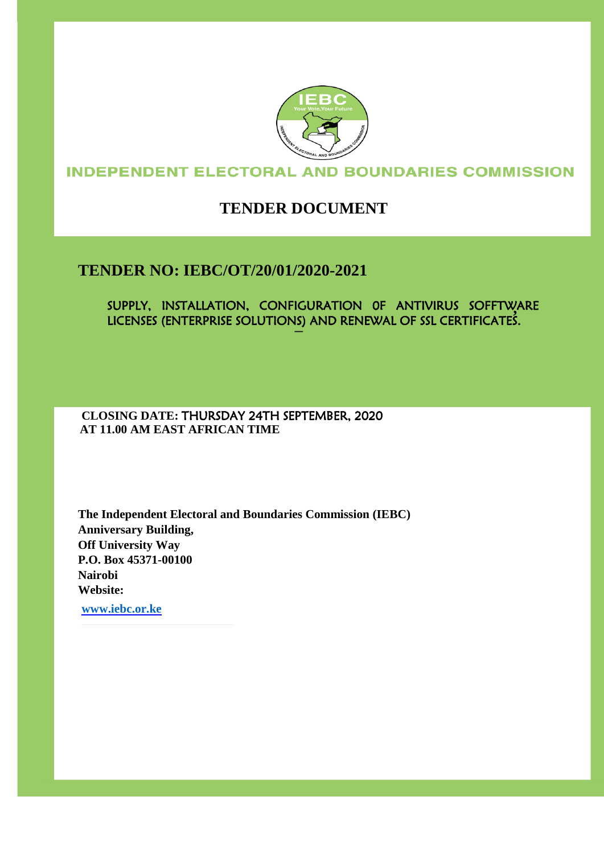

## **INDEPENDENT ELECTORAL AND BOUNDARIES COMMISSION**

# **TENDER DOCUMENT**

## **TENDER NO: IEBC/OT/20/01/2020-2021**

SUPPLY, INSTALLATION, CONFIGURATION 0F ANTIVIRUS SOFFTWARE **,**  LICENSES (ENTERPRISE SOLUTIONS) AND RENEWAL OF SSL CERTIFICATES. **–**

**CLOSING DATE:** THURSDAY 24TH SEPTEMBER, 2020  **AT 11.00 AM EAST AFRICAN TIME**

**The Independent Electoral and Boundaries Commission (IEBC) Anniversary Building, Off University Way P.O. Box 45371-00100 Nairobi Website:** 

**[www.iebc.or.ke](http://www.iebc.or.ke/)**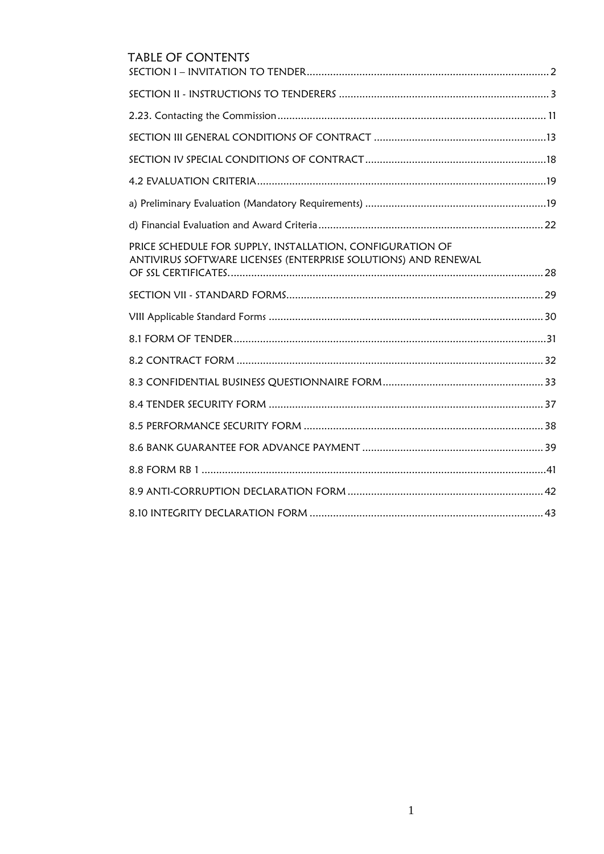| <b>TABLE OF CONTENTS</b>                                                                                                    |
|-----------------------------------------------------------------------------------------------------------------------------|
|                                                                                                                             |
|                                                                                                                             |
|                                                                                                                             |
|                                                                                                                             |
|                                                                                                                             |
|                                                                                                                             |
|                                                                                                                             |
|                                                                                                                             |
| PRICE SCHEDULE FOR SUPPLY, INSTALLATION, CONFIGURATION OF<br>ANTIVIRUS SOFTWARE LICENSES (ENTERPRISE SOLUTIONS) AND RENEWAL |
|                                                                                                                             |
|                                                                                                                             |
|                                                                                                                             |
|                                                                                                                             |
|                                                                                                                             |
|                                                                                                                             |
|                                                                                                                             |
|                                                                                                                             |
|                                                                                                                             |
|                                                                                                                             |
|                                                                                                                             |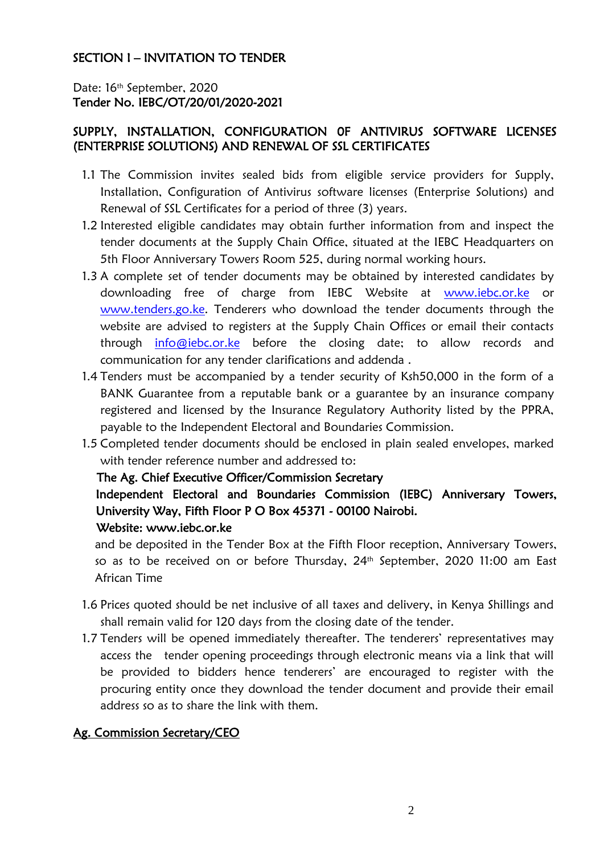## <span id="page-2-0"></span>SECTION I – INVITATION TO TENDER

Date: 16<sup>th</sup> September, 2020 Tender No. IEBC/OT/20/01/2020-2021

## SUPPLY, INSTALLATION, CONFIGURATION 0F ANTIVIRUS SOFTWARE LICENSES (ENTERPRISE SOLUTIONS) AND RENEWAL OF SSL CERTIFICATES

- 1.1 The Commission invites sealed bids from eligible service providers for Supply, Installation, Configuration of Antivirus software licenses (Enterprise Solutions) and Renewal of SSL Certificates for a period of three (3) years.
- 1.2 Interested eligible candidates may obtain further information from and inspect the tender documents at the Supply Chain Office, situated at the IEBC Headquarters on 5th Floor Anniversary Towers Room 525, during normal working hours.
- 1.3 A complete set of tender documents may be obtained by interested candidates by downloading free of charge from IEBC Website at [www.iebc.or.ke](http://www.iebc.or.ke/) [o](http://www.iebc.or.ke/)r [www.tenders.go.ke.](http://www.tenders.go.ke/) Tenderers who download the tender documents through the website are advised to registers at the Supply Chain Offices or email their contacts through info@iebc.or.ke before the closing date; to allow records and communication for any tender clarifications and addend[a](http://www.iebc.or.ke/) .
- 1.4 Tenders must be accompanied by a tender security of Ksh50,000 in the form of a BANK Guarantee from a reputable bank or a guarantee by an insurance company registered and licensed by the Insurance Regulatory Authority listed by the PPRA, payable to the Independent Electoral and Boundaries Commission.
- 1.5 Completed tender documents should be enclosed in plain sealed envelopes, marked with tender reference number and addressed to:

#### The Ag. Chief Executive Officer/Commission Secretary

## Independent Electoral and Boundaries Commission (IEBC) Anniversary Towers, University Way, Fifth Floor P O Box 45371 - 00100 Nairobi. Website: www.iebc.or.ke

and be deposited in the Tender Box at the Fifth Floor reception, Anniversary Towers, so as to be received on or before Thursday, 24th September, 2020 11:00 am East African Time

- 1.6 Prices quoted should be net inclusive of all taxes and delivery, in Kenya Shillings and shall remain valid for 120 days from the closing date of the tender.
- 1.7 Tenders will be opened immediately thereafter. The tenderers' representatives may access the tender opening proceedings through electronic means via a link that will be provided to bidders hence tenderers' are encouraged to register with the procuring entity once they download the tender document and provide their email address so as to share the link with them.

## Ag. Commission Secretary/CEO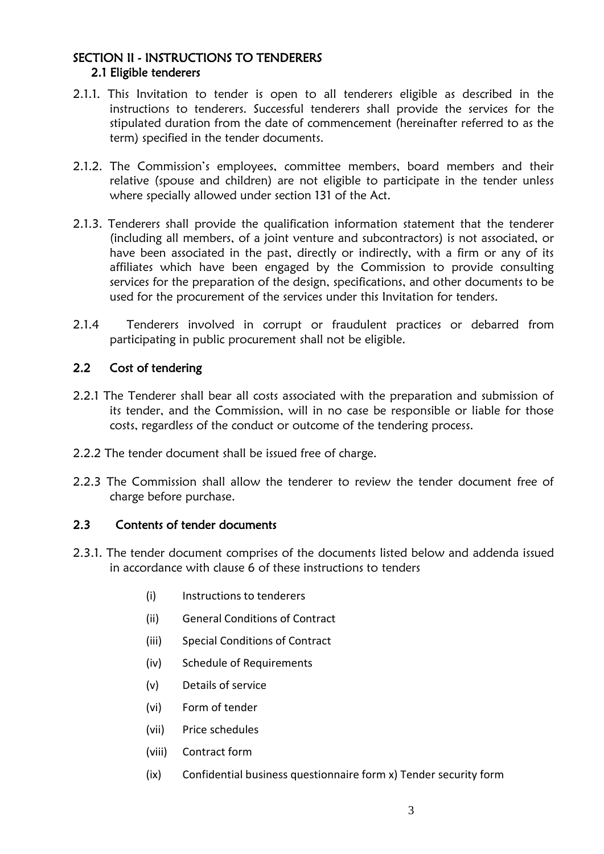## <span id="page-3-0"></span>SECTION II - INSTRUCTIONS TO TENDERERS 2.1 Eligible tenderers

- 2.1.1. This Invitation to tender is open to all tenderers eligible as described in the instructions to tenderers. Successful tenderers shall provide the services for the stipulated duration from the date of commencement (hereinafter referred to as the term) specified in the tender documents.
- 2.1.2. The Commission's employees, committee members, board members and their relative (spouse and children) are not eligible to participate in the tender unless where specially allowed under section 131 of the Act.
- 2.1.3. Tenderers shall provide the qualification information statement that the tenderer (including all members, of a joint venture and subcontractors) is not associated, or have been associated in the past, directly or indirectly, with a firm or any of its affiliates which have been engaged by the Commission to provide consulting services for the preparation of the design, specifications, and other documents to be used for the procurement of the services under this Invitation for tenders.
- 2.1.4 Tenderers involved in corrupt or fraudulent practices or debarred from participating in public procurement shall not be eligible.

## 2.2 Cost of tendering

- 2.2.1 The Tenderer shall bear all costs associated with the preparation and submission of its tender, and the Commission, will in no case be responsible or liable for those costs, regardless of the conduct or outcome of the tendering process.
- 2.2.2 The tender document shall be issued free of charge.
- 2.2.3 The Commission shall allow the tenderer to review the tender document free of charge before purchase.

## 2.3 Contents of tender documents

- 2.3.1. The tender document comprises of the documents listed below and addenda issued in accordance with clause 6 of these instructions to tenders
	- (i) Instructions to tenderers
	- (ii) General Conditions of Contract
	- (iii) Special Conditions of Contract
	- (iv) Schedule of Requirements
	- (v) Details of service
	- (vi) Form of tender
	- (vii) Price schedules
	- (viii) Contract form
	- (ix) Confidential business questionnaire form x) Tender security form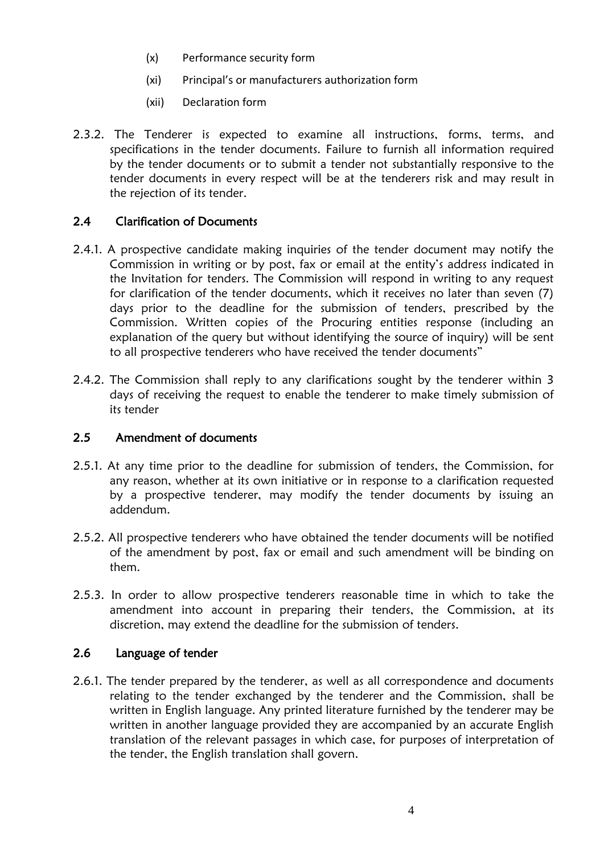- (x) Performance security form
- (xi) Principal's or manufacturers authorization form
- (xii) Declaration form
- 2.3.2. The Tenderer is expected to examine all instructions, forms, terms, and specifications in the tender documents. Failure to furnish all information required by the tender documents or to submit a tender not substantially responsive to the tender documents in every respect will be at the tenderers risk and may result in the rejection of its tender.

## 2.4 Clarification of Documents

- 2.4.1. A prospective candidate making inquiries of the tender document may notify the Commission in writing or by post, fax or email at the entity's address indicated in the Invitation for tenders. The Commission will respond in writing to any request for clarification of the tender documents, which it receives no later than seven (7) days prior to the deadline for the submission of tenders, prescribed by the Commission. Written copies of the Procuring entities response (including an explanation of the query but without identifying the source of inquiry) will be sent to all prospective tenderers who have received the tender documents"
- 2.4.2. The Commission shall reply to any clarifications sought by the tenderer within 3 days of receiving the request to enable the tenderer to make timely submission of its tender

#### 2.5 Amendment of documents

- 2.5.1. At any time prior to the deadline for submission of tenders, the Commission, for any reason, whether at its own initiative or in response to a clarification requested by a prospective tenderer, may modify the tender documents by issuing an addendum.
- 2.5.2. All prospective tenderers who have obtained the tender documents will be notified of the amendment by post, fax or email and such amendment will be binding on them.
- 2.5.3. In order to allow prospective tenderers reasonable time in which to take the amendment into account in preparing their tenders, the Commission, at its discretion, may extend the deadline for the submission of tenders.

#### 2.6 Language of tender

2.6.1. The tender prepared by the tenderer, as well as all correspondence and documents relating to the tender exchanged by the tenderer and the Commission, shall be written in English language. Any printed literature furnished by the tenderer may be written in another language provided they are accompanied by an accurate English translation of the relevant passages in which case, for purposes of interpretation of the tender, the English translation shall govern.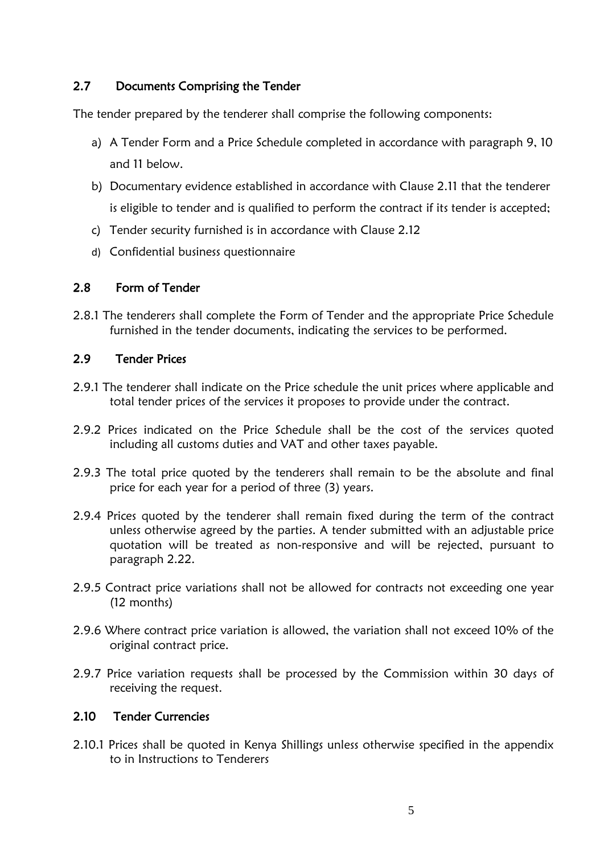## 2.7 Documents Comprising the Tender

The tender prepared by the tenderer shall comprise the following components:

- a) A Tender Form and a Price Schedule completed in accordance with paragraph 9, 10 and 11 below.
- b) Documentary evidence established in accordance with Clause 2.11 that the tenderer is eligible to tender and is qualified to perform the contract if its tender is accepted;
- c) Tender security furnished is in accordance with Clause 2.12
- d) Confidential business questionnaire

## 2.8 Form of Tender

2.8.1 The tenderers shall complete the Form of Tender and the appropriate Price Schedule furnished in the tender documents, indicating the services to be performed.

### 2.9 Tender Prices

- 2.9.1 The tenderer shall indicate on the Price schedule the unit prices where applicable and total tender prices of the services it proposes to provide under the contract.
- 2.9.2 Prices indicated on the Price Schedule shall be the cost of the services quoted including all customs duties and VAT and other taxes payable.
- 2.9.3 The total price quoted by the tenderers shall remain to be the absolute and final price for each year for a period of three (3) years.
- 2.9.4 Prices quoted by the tenderer shall remain fixed during the term of the contract unless otherwise agreed by the parties. A tender submitted with an adjustable price quotation will be treated as non-responsive and will be rejected, pursuant to paragraph 2.22.
- 2.9.5 Contract price variations shall not be allowed for contracts not exceeding one year (12 months)
- 2.9.6 Where contract price variation is allowed, the variation shall not exceed 10% of the original contract price.
- 2.9.7 Price variation requests shall be processed by the Commission within 30 days of receiving the request.

## 2.10 Tender Currencies

2.10.1 Prices shall be quoted in Kenya Shillings unless otherwise specified in the appendix to in Instructions to Tenderers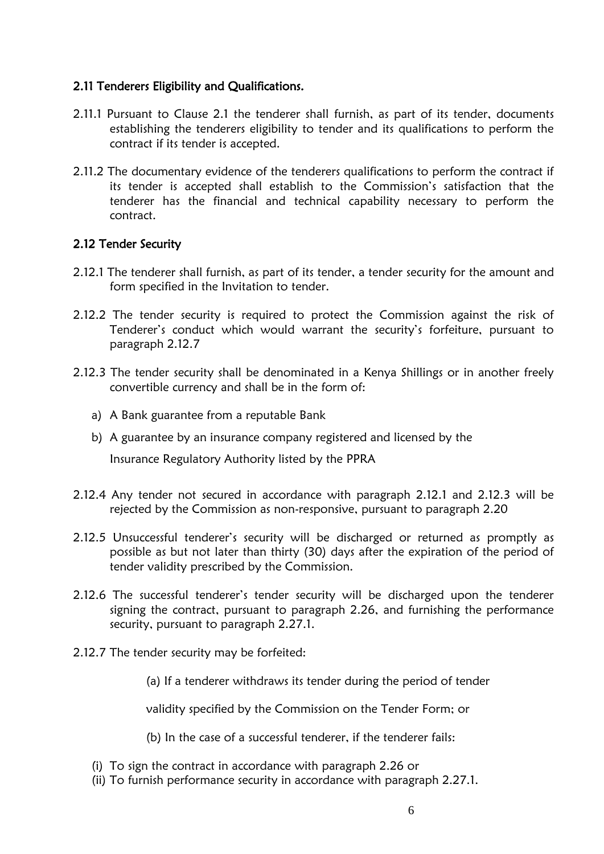### 2.11 Tenderers Eligibility and Qualifications.

- 2.11.1 Pursuant to Clause 2.1 the tenderer shall furnish, as part of its tender, documents establishing the tenderers eligibility to tender and its qualifications to perform the contract if its tender is accepted.
- 2.11.2 The documentary evidence of the tenderers qualifications to perform the contract if its tender is accepted shall establish to the Commission's satisfaction that the tenderer has the financial and technical capability necessary to perform the contract.

#### 2.12 Tender Security

- 2.12.1 The tenderer shall furnish, as part of its tender, a tender security for the amount and form specified in the Invitation to tender.
- 2.12.2 The tender security is required to protect the Commission against the risk of Tenderer's conduct which would warrant the security's forfeiture, pursuant to paragraph 2.12.7
- 2.12.3 The tender security shall be denominated in a Kenya Shillings or in another freely convertible currency and shall be in the form of:
	- a) A Bank guarantee from a reputable Bank
	- b) A guarantee by an insurance company registered and licensed by the

Insurance Regulatory Authority listed by the PPRA

- 2.12.4 Any tender not secured in accordance with paragraph 2.12.1 and 2.12.3 will be rejected by the Commission as non-responsive, pursuant to paragraph 2.20
- 2.12.5 Unsuccessful tenderer's security will be discharged or returned as promptly as possible as but not later than thirty (30) days after the expiration of the period of tender validity prescribed by the Commission.
- 2.12.6 The successful tenderer"s tender security will be discharged upon the tenderer signing the contract, pursuant to paragraph 2.26, and furnishing the performance security, pursuant to paragraph 2.27.1.
- 2.12.7 The tender security may be forfeited:

(a) If a tenderer withdraws its tender during the period of tender

validity specified by the Commission on the Tender Form; or

(b) In the case of a successful tenderer, if the tenderer fails:

- (i) To sign the contract in accordance with paragraph 2.26 or
- (ii) To furnish performance security in accordance with paragraph 2.27.1.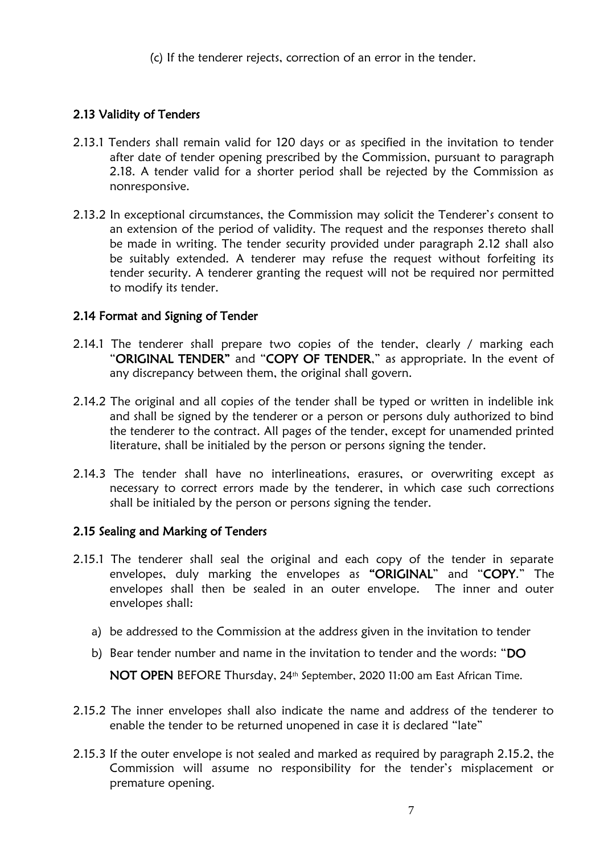(c) If the tenderer rejects, correction of an error in the tender.

## 2.13 Validity of Tenders

- 2.13.1 Tenders shall remain valid for 120 days or as specified in the invitation to tender after date of tender opening prescribed by the Commission, pursuant to paragraph 2.18. A tender valid for a shorter period shall be rejected by the Commission as nonresponsive.
- 2.13.2 In exceptional circumstances, the Commission may solicit the Tenderer's consent to an extension of the period of validity. The request and the responses thereto shall be made in writing. The tender security provided under paragraph 2.12 shall also be suitably extended. A tenderer may refuse the request without forfeiting its tender security. A tenderer granting the request will not be required nor permitted to modify its tender.

## 2.14 Format and Signing of Tender

- 2.14.1 The tenderer shall prepare two copies of the tender, clearly / marking each "ORIGINAL TENDER" and "COPY OF TENDER," as appropriate. In the event of any discrepancy between them, the original shall govern.
- 2.14.2 The original and all copies of the tender shall be typed or written in indelible ink and shall be signed by the tenderer or a person or persons duly authorized to bind the tenderer to the contract. All pages of the tender, except for unamended printed literature, shall be initialed by the person or persons signing the tender.
- 2.14.3 The tender shall have no interlineations, erasures, or overwriting except as necessary to correct errors made by the tenderer, in which case such corrections shall be initialed by the person or persons signing the tender.

## 2.15 Sealing and Marking of Tenders

- 2.15.1 The tenderer shall seal the original and each copy of the tender in separate envelopes, duly marking the envelopes as "ORIGINAL" and "COPY." The envelopes shall then be sealed in an outer envelope. The inner and outer envelopes shall:
	- a) be addressed to the Commission at the address given in the invitation to tender
	- b) Bear tender number and name in the invitation to tender and the words: "DO

NOT OPEN BEFORE Thursday, 24th September, 2020 11:00 am East African Time.

- 2.15.2 The inner envelopes shall also indicate the name and address of the tenderer to enable the tender to be returned unopened in case it is declared "late"
- 2.15.3 If the outer envelope is not sealed and marked as required by paragraph 2.15.2, the Commission will assume no responsibility for the tender"s misplacement or premature opening.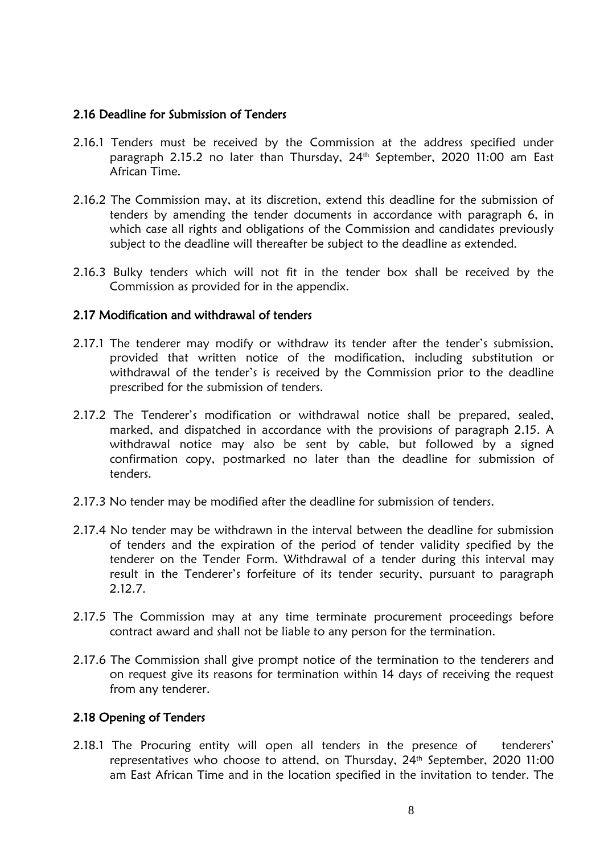#### 2.16 Deadline for Submission of Tenders

- 2.16.1 Tenders must be received by the Commission at the address specified under paragraph 2.15.2 no later than Thursday, 24th September, 2020 11:00 am East African Time.
- 2.16.2 The Commission may, at its discretion, extend this deadline for the submission of tenders by amending the tender documents in accordance with paragraph 6, in which case all rights and obligations of the Commission and candidates previously subject to the deadline will thereafter be subject to the deadline as extended.
- 2.16.3 Bulky tenders which will not fit in the tender box shall be received by the Commission as provided for in the appendix.

#### 2.17 Modification and withdrawal of tenders

- 2.17.1 The tenderer may modify or withdraw its tender after the tender"s submission, provided that written notice of the modification, including substitution or withdrawal of the tender's is received by the Commission prior to the deadline prescribed for the submission of tenders.
- 2.17.2 The Tenderer"s modification or withdrawal notice shall be prepared, sealed, marked, and dispatched in accordance with the provisions of paragraph 2.15. A withdrawal notice may also be sent by cable, but followed by a signed confirmation copy, postmarked no later than the deadline for submission of tenders.
- 2.17.3 No tender may be modified after the deadline for submission of tenders.
- 2.17.4 No tender may be withdrawn in the interval between the deadline for submission of tenders and the expiration of the period of tender validity specified by the tenderer on the Tender Form. Withdrawal of a tender during this interval may result in the Tenderer"s forfeiture of its tender security, pursuant to paragraph 2.12.7.
- 2.17.5 The Commission may at any time terminate procurement proceedings before contract award and shall not be liable to any person for the termination.
- 2.17.6 The Commission shall give prompt notice of the termination to the tenderers and on request give its reasons for termination within 14 days of receiving the request from any tenderer.

#### 2.18 Opening of Tenders

2.18.1 The Procuring entity will open all tenders in the presence of tenderers' representatives who choose to attend, on Thursday, 24th September, 2020 11:00 am East African Time and in the location specified in the invitation to tender. The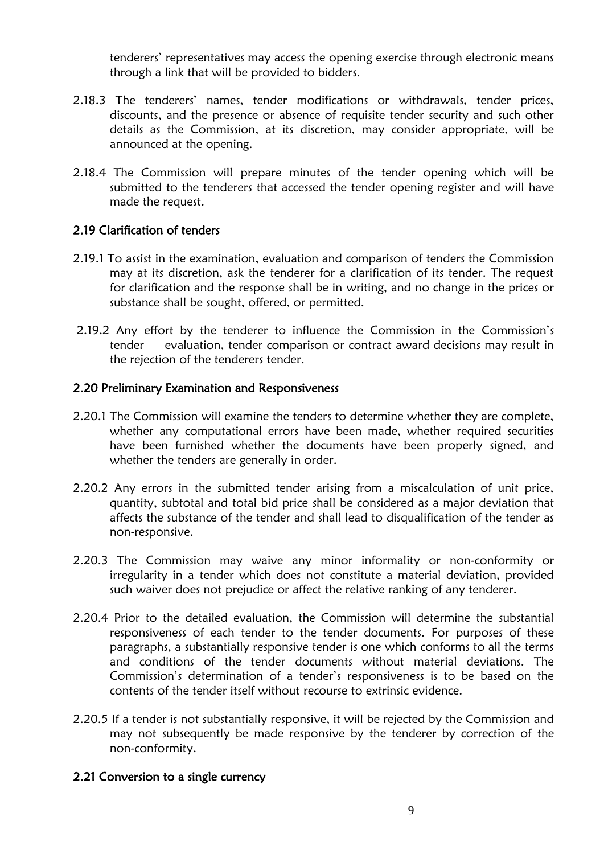tenderers" representatives may access the opening exercise through electronic means through a link that will be provided to bidders.

- 2.18.3 The tenderers' names, tender modifications or withdrawals, tender prices, discounts, and the presence or absence of requisite tender security and such other details as the Commission, at its discretion, may consider appropriate, will be announced at the opening.
- 2.18.4 The Commission will prepare minutes of the tender opening which will be submitted to the tenderers that accessed the tender opening register and will have made the request.

## 2.19 Clarification of tenders

- 2.19.1 To assist in the examination, evaluation and comparison of tenders the Commission may at its discretion, ask the tenderer for a clarification of its tender. The request for clarification and the response shall be in writing, and no change in the prices or substance shall be sought, offered, or permitted.
- 2.19.2 Any effort by the tenderer to influence the Commission in the Commission"s tender evaluation, tender comparison or contract award decisions may result in the rejection of the tenderers tender.

#### 2.20 Preliminary Examination and Responsiveness

- 2.20.1 The Commission will examine the tenders to determine whether they are complete, whether any computational errors have been made, whether required securities have been furnished whether the documents have been properly signed, and whether the tenders are generally in order.
- 2.20.2 Any errors in the submitted tender arising from a miscalculation of unit price, quantity, subtotal and total bid price shall be considered as a major deviation that affects the substance of the tender and shall lead to disqualification of the tender as non-responsive.
- 2.20.3 The Commission may waive any minor informality or non-conformity or irregularity in a tender which does not constitute a material deviation, provided such waiver does not prejudice or affect the relative ranking of any tenderer.
- 2.20.4 Prior to the detailed evaluation, the Commission will determine the substantial responsiveness of each tender to the tender documents. For purposes of these paragraphs, a substantially responsive tender is one which conforms to all the terms and conditions of the tender documents without material deviations. The Commission"s determination of a tender"s responsiveness is to be based on the contents of the tender itself without recourse to extrinsic evidence.
- 2.20.5 If a tender is not substantially responsive, it will be rejected by the Commission and may not subsequently be made responsive by the tenderer by correction of the non-conformity.

#### 2.21 Conversion to a single currency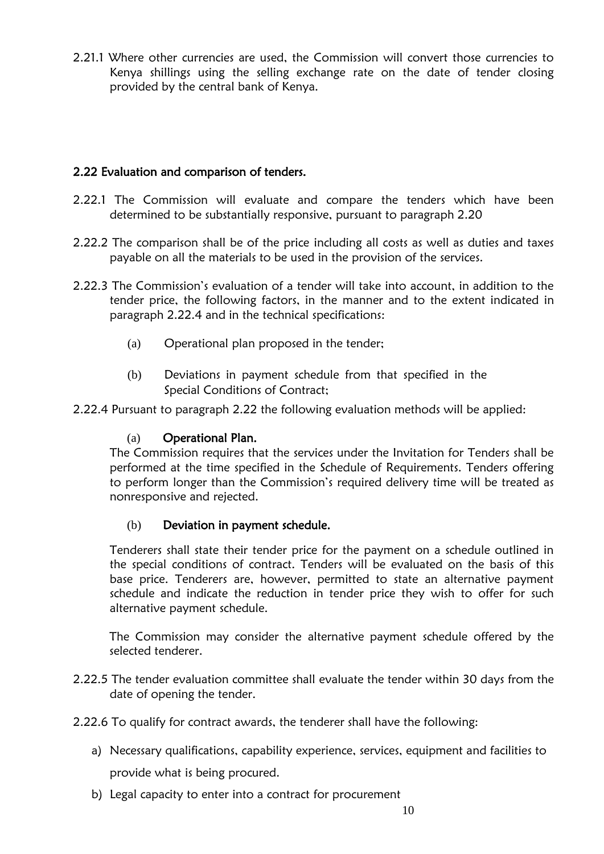2.21.1 Where other currencies are used, the Commission will convert those currencies to Kenya shillings using the selling exchange rate on the date of tender closing provided by the central bank of Kenya.

## 2.22 Evaluation and comparison of tenders.

- 2.22.1 The Commission will evaluate and compare the tenders which have been determined to be substantially responsive, pursuant to paragraph 2.20
- 2.22.2 The comparison shall be of the price including all costs as well as duties and taxes payable on all the materials to be used in the provision of the services.
- 2.22.3 The Commission"s evaluation of a tender will take into account, in addition to the tender price, the following factors, in the manner and to the extent indicated in paragraph 2.22.4 and in the technical specifications:
	- (a) Operational plan proposed in the tender;
	- (b) Deviations in payment schedule from that specified in the Special Conditions of Contract;
- 2.22.4 Pursuant to paragraph 2.22 the following evaluation methods will be applied:

## (a) Operational Plan.

The Commission requires that the services under the Invitation for Tenders shall be performed at the time specified in the Schedule of Requirements. Tenders offering to perform longer than the Commission's required delivery time will be treated as nonresponsive and rejected.

## (b) Deviation in payment schedule.

Tenderers shall state their tender price for the payment on a schedule outlined in the special conditions of contract. Tenders will be evaluated on the basis of this base price. Tenderers are, however, permitted to state an alternative payment schedule and indicate the reduction in tender price they wish to offer for such alternative payment schedule.

The Commission may consider the alternative payment schedule offered by the selected tenderer.

- 2.22.5 The tender evaluation committee shall evaluate the tender within 30 days from the date of opening the tender.
- 2.22.6 To qualify for contract awards, the tenderer shall have the following:
	- a) Necessary qualifications, capability experience, services, equipment and facilities to provide what is being procured.
	- b) Legal capacity to enter into a contract for procurement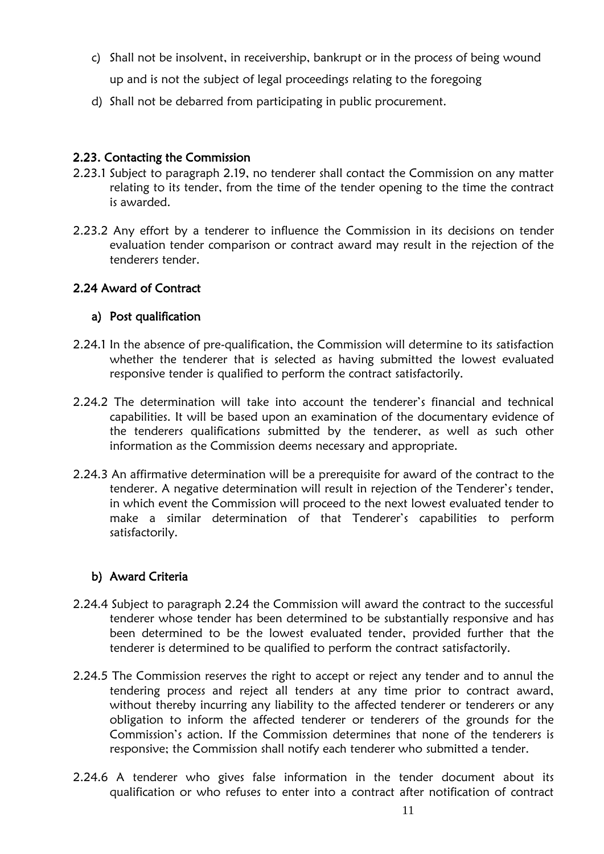- c) Shall not be insolvent, in receivership, bankrupt or in the process of being wound up and is not the subject of legal proceedings relating to the foregoing
- d) Shall not be debarred from participating in public procurement.

## <span id="page-11-0"></span>2.23. Contacting the Commission

- 2.23.1 Subject to paragraph 2.19, no tenderer shall contact the Commission on any matter relating to its tender, from the time of the tender opening to the time the contract is awarded.
- 2.23.2 Any effort by a tenderer to influence the Commission in its decisions on tender evaluation tender comparison or contract award may result in the rejection of the tenderers tender.

## 2.24 Award of Contract

## a) Post qualification

- 2.24.1 In the absence of pre-qualification, the Commission will determine to its satisfaction whether the tenderer that is selected as having submitted the lowest evaluated responsive tender is qualified to perform the contract satisfactorily.
- 2.24.2 The determination will take into account the tenderer's financial and technical capabilities. It will be based upon an examination of the documentary evidence of the tenderers qualifications submitted by the tenderer, as well as such other information as the Commission deems necessary and appropriate.
- 2.24.3 An affirmative determination will be a prerequisite for award of the contract to the tenderer. A negative determination will result in rejection of the Tenderer's tender, in which event the Commission will proceed to the next lowest evaluated tender to make a similar determination of that Tenderer"s capabilities to perform satisfactorily.

## b) Award Criteria

- 2.24.4 Subject to paragraph 2.24 the Commission will award the contract to the successful tenderer whose tender has been determined to be substantially responsive and has been determined to be the lowest evaluated tender, provided further that the tenderer is determined to be qualified to perform the contract satisfactorily.
- 2.24.5 The Commission reserves the right to accept or reject any tender and to annul the tendering process and reject all tenders at any time prior to contract award, without thereby incurring any liability to the affected tenderer or tenderers or any obligation to inform the affected tenderer or tenderers of the grounds for the Commission"s action. If the Commission determines that none of the tenderers is responsive; the Commission shall notify each tenderer who submitted a tender.
- 2.24.6 A tenderer who gives false information in the tender document about its qualification or who refuses to enter into a contract after notification of contract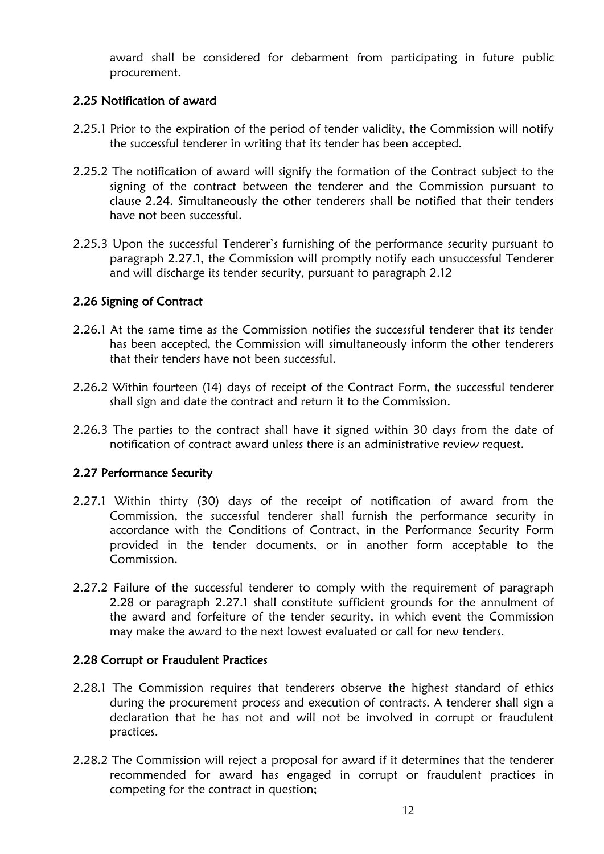award shall be considered for debarment from participating in future public procurement.

## 2.25 Notification of award

- 2.25.1 Prior to the expiration of the period of tender validity, the Commission will notify the successful tenderer in writing that its tender has been accepted.
- 2.25.2 The notification of award will signify the formation of the Contract subject to the signing of the contract between the tenderer and the Commission pursuant to clause 2.24. Simultaneously the other tenderers shall be notified that their tenders have not been successful.
- 2.25.3 Upon the successful Tenderer"s furnishing of the performance security pursuant to paragraph 2.27.1, the Commission will promptly notify each unsuccessful Tenderer and will discharge its tender security, pursuant to paragraph 2.12

## 2.26 Signing of Contract

- 2.26.1 At the same time as the Commission notifies the successful tenderer that its tender has been accepted, the Commission will simultaneously inform the other tenderers that their tenders have not been successful.
- 2.26.2 Within fourteen (14) days of receipt of the Contract Form, the successful tenderer shall sign and date the contract and return it to the Commission.
- 2.26.3 The parties to the contract shall have it signed within 30 days from the date of notification of contract award unless there is an administrative review request.

## 2.27 Performance Security

- 2.27.1 Within thirty (30) days of the receipt of notification of award from the Commission, the successful tenderer shall furnish the performance security in accordance with the Conditions of Contract, in the Performance Security Form provided in the tender documents, or in another form acceptable to the Commission.
- 2.27.2 Failure of the successful tenderer to comply with the requirement of paragraph 2.28 or paragraph 2.27.1 shall constitute sufficient grounds for the annulment of the award and forfeiture of the tender security, in which event the Commission may make the award to the next lowest evaluated or call for new tenders.

## 2.28 Corrupt or Fraudulent Practices

- 2.28.1 The Commission requires that tenderers observe the highest standard of ethics during the procurement process and execution of contracts. A tenderer shall sign a declaration that he has not and will not be involved in corrupt or fraudulent practices.
- 2.28.2 The Commission will reject a proposal for award if it determines that the tenderer recommended for award has engaged in corrupt or fraudulent practices in competing for the contract in question;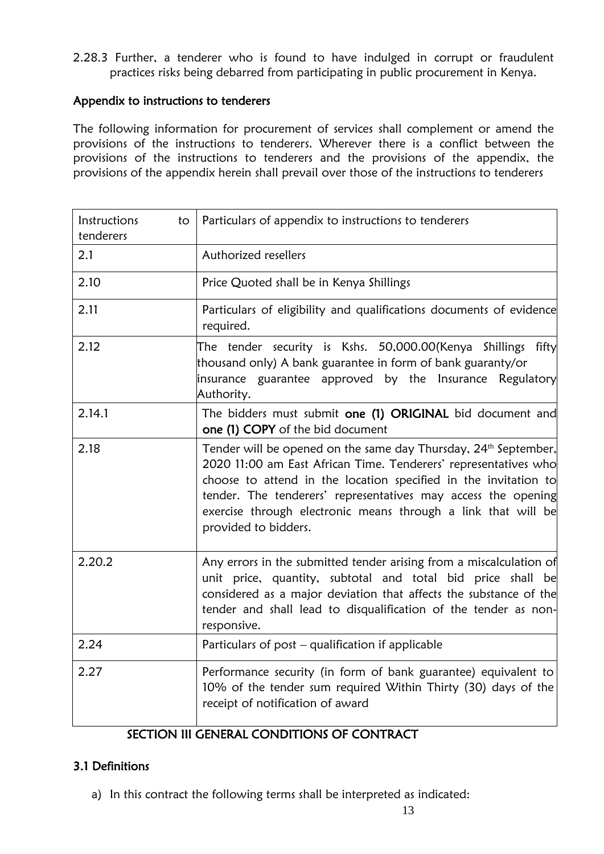2.28.3 Further, a tenderer who is found to have indulged in corrupt or fraudulent practices risks being debarred from participating in public procurement in Kenya.

### Appendix to instructions to tenderers

The following information for procurement of services shall complement or amend the provisions of the instructions to tenderers. Wherever there is a conflict between the provisions of the instructions to tenderers and the provisions of the appendix, the provisions of the appendix herein shall prevail over those of the instructions to tenderers

| Instructions<br>to<br>tenderers | Particulars of appendix to instructions to tenderers                                                                                                                                                                                                                                                                                                                        |
|---------------------------------|-----------------------------------------------------------------------------------------------------------------------------------------------------------------------------------------------------------------------------------------------------------------------------------------------------------------------------------------------------------------------------|
| 2.1                             | Authorized resellers                                                                                                                                                                                                                                                                                                                                                        |
| 2.10                            | Price Quoted shall be in Kenya Shillings                                                                                                                                                                                                                                                                                                                                    |
| 2.11                            | Particulars of eligibility and qualifications documents of evidence<br>required.                                                                                                                                                                                                                                                                                            |
| 2.12                            | The tender security is Kshs. 50,000.00(Kenya Shillings fifty<br>thousand only) A bank guarantee in form of bank guaranty/or<br>insurance guarantee approved by the Insurance Regulatory<br>Authority.                                                                                                                                                                       |
| 2.14.1                          | The bidders must submit one (1) ORIGINAL bid document and<br>one (1) COPY of the bid document                                                                                                                                                                                                                                                                               |
| 2.18                            | Tender will be opened on the same day Thursday, 24 <sup>th</sup> September,<br>2020 11:00 am East African Time. Tenderers' representatives who<br>choose to attend in the location specified in the invitation to<br>tender. The tenderers' representatives may access the opening<br>exercise through electronic means through a link that will be<br>provided to bidders. |
| 2.20.2                          | Any errors in the submitted tender arising from a miscalculation of<br>unit price, quantity, subtotal and total bid price shall be<br>considered as a major deviation that affects the substance of the<br>tender and shall lead to disqualification of the tender as non-<br>responsive.                                                                                   |
| 2.24                            | Particulars of post - qualification if applicable                                                                                                                                                                                                                                                                                                                           |
| 2.27                            | Performance security (in form of bank guarantee) equivalent to<br>10% of the tender sum required Within Thirty (30) days of the<br>receipt of notification of award                                                                                                                                                                                                         |

## SECTION III GENERAL CONDITIONS OF CONTRACT

## <span id="page-13-0"></span>3.1 Definitions

a) In this contract the following terms shall be interpreted as indicated: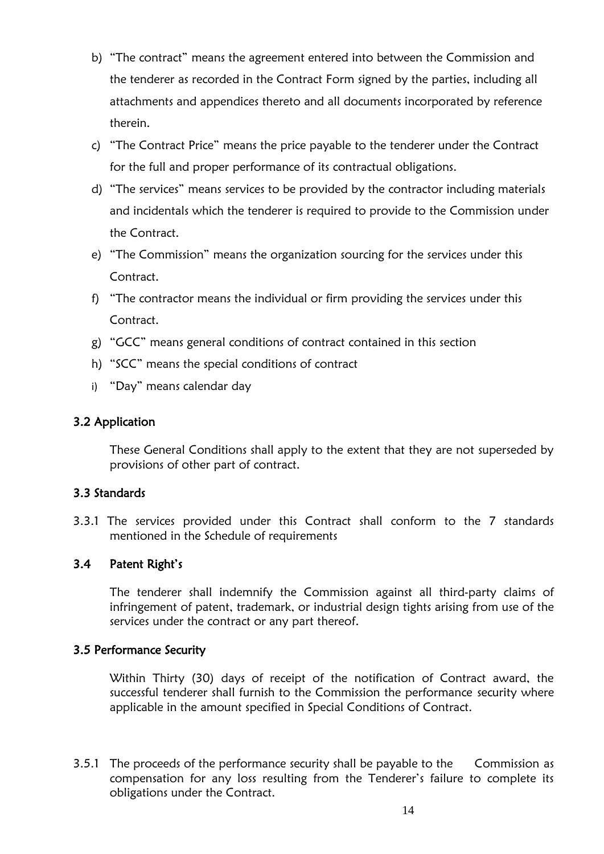- b) "The contract" means the agreement entered into between the Commission and the tenderer as recorded in the Contract Form signed by the parties, including all attachments and appendices thereto and all documents incorporated by reference therein.
- c) "The Contract Price" means the price payable to the tenderer under the Contract for the full and proper performance of its contractual obligations.
- d) "The services" means services to be provided by the contractor including materials and incidentals which the tenderer is required to provide to the Commission under the Contract.
- e) "The Commission" means the organization sourcing for the services under this Contract.
- f) "The contractor means the individual or firm providing the services under this Contract.
- g) "GCC" means general conditions of contract contained in this section
- h) "SCC" means the special conditions of contract
- i) "Day" means calendar day

#### 3.2 Application

These General Conditions shall apply to the extent that they are not superseded by provisions of other part of contract.

#### 3.3 Standards

3.3.1 The services provided under this Contract shall conform to the 7 standards mentioned in the Schedule of requirements

## 3.4 Patent Right"s

The tenderer shall indemnify the Commission against all third-party claims of infringement of patent, trademark, or industrial design tights arising from use of the services under the contract or any part thereof.

#### 3.5 Performance Security

Within Thirty (30) days of receipt of the notification of Contract award, the successful tenderer shall furnish to the Commission the performance security where applicable in the amount specified in Special Conditions of Contract.

3.5.1 The proceeds of the performance security shall be payable to the Commission as compensation for any loss resulting from the Tenderer"s failure to complete its obligations under the Contract.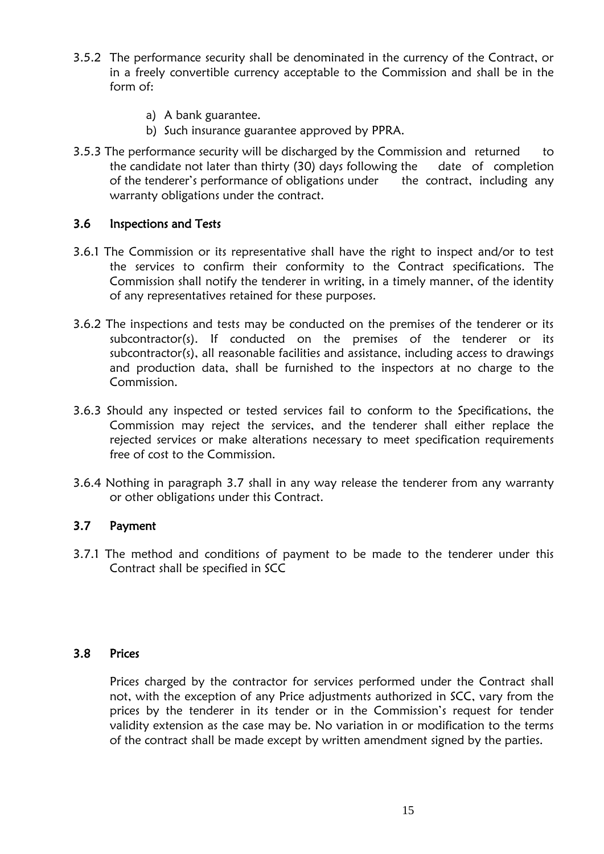- 3.5.2 The performance security shall be denominated in the currency of the Contract, or in a freely convertible currency acceptable to the Commission and shall be in the form of:
	- a) A bank guarantee.
	- b) Such insurance guarantee approved by PPRA.
- 3.5.3 The performance security will be discharged by the Commission and returned to the candidate not later than thirty (30) days following the date of completion of the tenderer's performance of obligations under the contract, including any warranty obligations under the contract.

#### 3.6 Inspections and Tests

- 3.6.1 The Commission or its representative shall have the right to inspect and/or to test the services to confirm their conformity to the Contract specifications. The Commission shall notify the tenderer in writing, in a timely manner, of the identity of any representatives retained for these purposes.
- 3.6.2 The inspections and tests may be conducted on the premises of the tenderer or its subcontractor(s). If conducted on the premises of the tenderer or its subcontractor(s), all reasonable facilities and assistance, including access to drawings and production data, shall be furnished to the inspectors at no charge to the Commission.
- 3.6.3 Should any inspected or tested services fail to conform to the Specifications, the Commission may reject the services, and the tenderer shall either replace the rejected services or make alterations necessary to meet specification requirements free of cost to the Commission.
- 3.6.4 Nothing in paragraph 3.7 shall in any way release the tenderer from any warranty or other obligations under this Contract.

#### 3.7 Payment

3.7.1 The method and conditions of payment to be made to the tenderer under this Contract shall be specified in SCC

#### 3.8 Prices

Prices charged by the contractor for services performed under the Contract shall not, with the exception of any Price adjustments authorized in SCC, vary from the prices by the tenderer in its tender or in the Commission's request for tender validity extension as the case may be. No variation in or modification to the terms of the contract shall be made except by written amendment signed by the parties.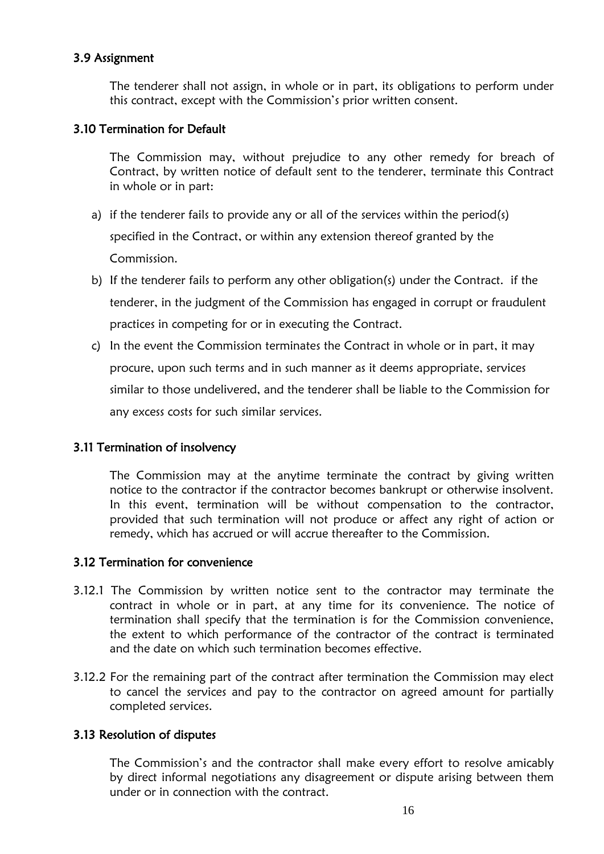## 3.9 Assignment

The tenderer shall not assign, in whole or in part, its obligations to perform under this contract, except with the Commission's prior written consent.

## 3.10 Termination for Default

The Commission may, without prejudice to any other remedy for breach of Contract, by written notice of default sent to the tenderer, terminate this Contract in whole or in part:

- a) if the tenderer fails to provide any or all of the services within the period(s) specified in the Contract, or within any extension thereof granted by the Commission.
- b) If the tenderer fails to perform any other obligation(s) under the Contract. if the tenderer, in the judgment of the Commission has engaged in corrupt or fraudulent practices in competing for or in executing the Contract.
- c) In the event the Commission terminates the Contract in whole or in part, it may procure, upon such terms and in such manner as it deems appropriate, services similar to those undelivered, and the tenderer shall be liable to the Commission for any excess costs for such similar services.

## 3.11 Termination of insolvency

The Commission may at the anytime terminate the contract by giving written notice to the contractor if the contractor becomes bankrupt or otherwise insolvent. In this event, termination will be without compensation to the contractor, provided that such termination will not produce or affect any right of action or remedy, which has accrued or will accrue thereafter to the Commission.

## 3.12 Termination for convenience

- 3.12.1 The Commission by written notice sent to the contractor may terminate the contract in whole or in part, at any time for its convenience. The notice of termination shall specify that the termination is for the Commission convenience, the extent to which performance of the contractor of the contract is terminated and the date on which such termination becomes effective.
- 3.12.2 For the remaining part of the contract after termination the Commission may elect to cancel the services and pay to the contractor on agreed amount for partially completed services.

## 3.13 Resolution of disputes

The Commission's and the contractor shall make every effort to resolve amicably by direct informal negotiations any disagreement or dispute arising between them under or in connection with the contract.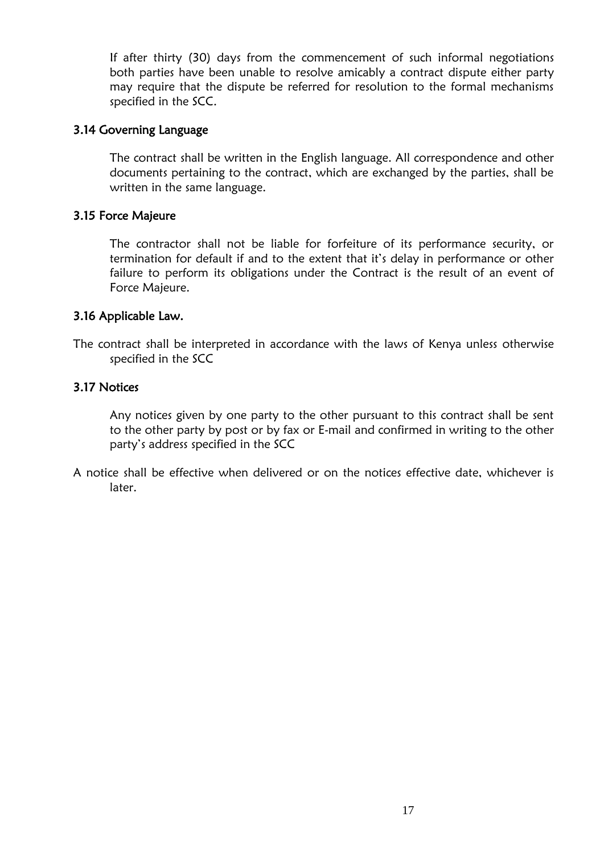If after thirty (30) days from the commencement of such informal negotiations both parties have been unable to resolve amicably a contract dispute either party may require that the dispute be referred for resolution to the formal mechanisms specified in the SCC.

### 3.14 Governing Language

The contract shall be written in the English language. All correspondence and other documents pertaining to the contract, which are exchanged by the parties, shall be written in the same language.

#### 3.15 Force Majeure

The contractor shall not be liable for forfeiture of its performance security, or termination for default if and to the extent that it"s delay in performance or other failure to perform its obligations under the Contract is the result of an event of Force Majeure.

#### 3.16 Applicable Law.

The contract shall be interpreted in accordance with the laws of Kenya unless otherwise specified in the SCC

#### 3.17 Notices

Any notices given by one party to the other pursuant to this contract shall be sent to the other party by post or by fax or E-mail and confirmed in writing to the other party"s address specified in the SCC

<span id="page-17-0"></span>A notice shall be effective when delivered or on the notices effective date, whichever is later.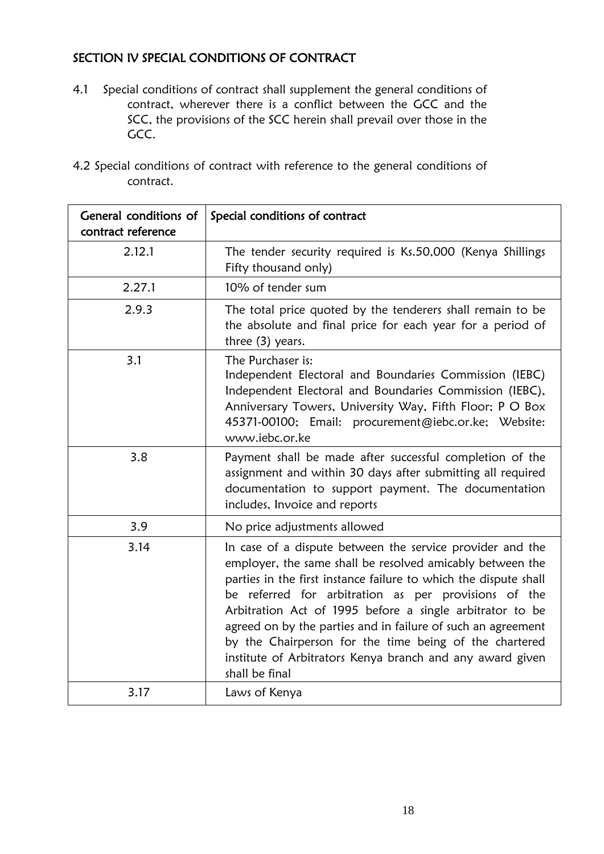## SECTION IV SPECIAL CONDITIONS OF CONTRACT

- 4.1 Special conditions of contract shall supplement the general conditions of contract, wherever there is a conflict between the GCC and the SCC, the provisions of the SCC herein shall prevail over those in the GCC.
- 4.2 Special conditions of contract with reference to the general conditions of contract.

| General conditions of<br>contract reference | Special conditions of contract                                                                                                                                                                                                                                                                                                                                                                                                                                                                                          |
|---------------------------------------------|-------------------------------------------------------------------------------------------------------------------------------------------------------------------------------------------------------------------------------------------------------------------------------------------------------------------------------------------------------------------------------------------------------------------------------------------------------------------------------------------------------------------------|
| 2.12.1                                      | The tender security required is Ks.50,000 (Kenya Shillings<br>Fifty thousand only)                                                                                                                                                                                                                                                                                                                                                                                                                                      |
| 2.27.1                                      | 10% of tender sum                                                                                                                                                                                                                                                                                                                                                                                                                                                                                                       |
| 2.9.3                                       | The total price quoted by the tenderers shall remain to be<br>the absolute and final price for each year for a period of<br>three (3) years.                                                                                                                                                                                                                                                                                                                                                                            |
| 3.1                                         | The Purchaser is:<br>Independent Electoral and Boundaries Commission (IEBC)<br>Independent Electoral and Boundaries Commission (IEBC),<br>Anniversary Towers, University Way, Fifth Floor; P O Box<br>45371-00100; Email: procurement@iebc.or.ke; Website:<br>www.iebc.or.ke                                                                                                                                                                                                                                            |
| 3.8                                         | Payment shall be made after successful completion of the<br>assignment and within 30 days after submitting all required<br>documentation to support payment. The documentation<br>includes, Invoice and reports                                                                                                                                                                                                                                                                                                         |
| 3.9                                         | No price adjustments allowed                                                                                                                                                                                                                                                                                                                                                                                                                                                                                            |
| 3.14                                        | In case of a dispute between the service provider and the<br>employer, the same shall be resolved amicably between the<br>parties in the first instance failure to which the dispute shall<br>be referred for arbitration as per provisions of the<br>Arbitration Act of 1995 before a single arbitrator to be<br>agreed on by the parties and in failure of such an agreement<br>by the Chairperson for the time being of the chartered<br>institute of Arbitrators Kenya branch and any award given<br>shall be final |
| 3.17                                        | Laws of Kenya                                                                                                                                                                                                                                                                                                                                                                                                                                                                                                           |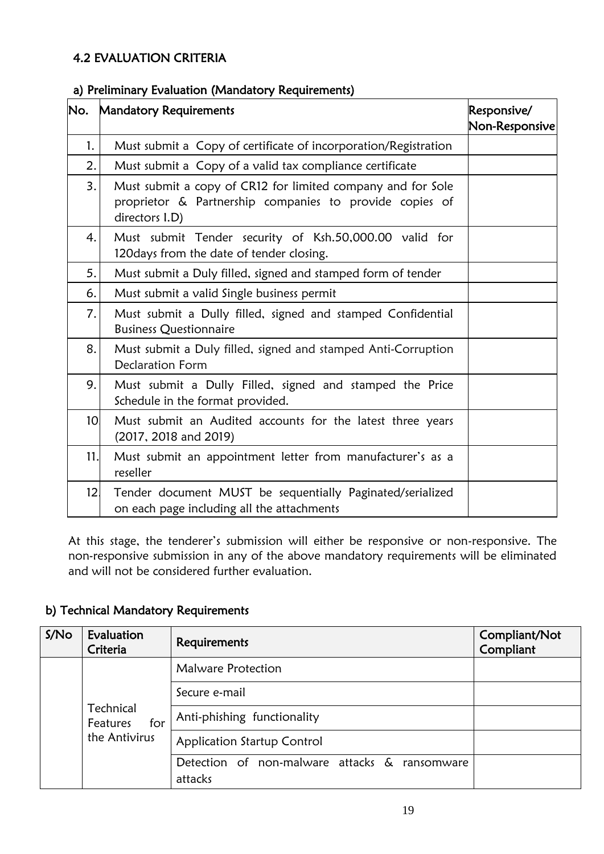## <span id="page-19-0"></span>4.2 EVALUATION CRITERIA

## <span id="page-19-1"></span>a) Preliminary Evaluation (Mandatory Requirements)

| No.             | <b>Mandatory Requirements</b>                                                                                                            | Responsive/<br>Non-Responsive |
|-----------------|------------------------------------------------------------------------------------------------------------------------------------------|-------------------------------|
| 1.              | Must submit a Copy of certificate of incorporation/Registration                                                                          |                               |
| 2.              | Must submit a Copy of a valid tax compliance certificate                                                                                 |                               |
| 3.              | Must submit a copy of CR12 for limited company and for Sole<br>proprietor & Partnership companies to provide copies of<br>directors I.D) |                               |
| 4.              | Must submit Tender security of Ksh.50,000.00 valid for<br>120 days from the date of tender closing.                                      |                               |
| 5.              | Must submit a Duly filled, signed and stamped form of tender                                                                             |                               |
| 6.              | Must submit a valid Single business permit                                                                                               |                               |
| 7.              | Must submit a Dully filled, signed and stamped Confidential<br><b>Business Questionnaire</b>                                             |                               |
| 8.              | Must submit a Duly filled, signed and stamped Anti-Corruption<br><b>Declaration Form</b>                                                 |                               |
| 9.              | Must submit a Dully Filled, signed and stamped the Price<br>Schedule in the format provided.                                             |                               |
| 10              | Must submit an Audited accounts for the latest three years<br>(2017, 2018 and 2019)                                                      |                               |
| 11.             | Must submit an appointment letter from manufacturer's as a<br>reseller                                                                   |                               |
| 12 <sub>1</sub> | Tender document MUST be sequentially Paginated/serialized<br>on each page including all the attachments                                  |                               |

At this stage, the tenderer"s submission will either be responsive or non-responsive. The non-responsive submission in any of the above mandatory requirements will be eliminated and will not be considered further evaluation.

## b) Technical Mandatory Requirements

| S/No | Evaluation<br>Criteria                        | Requirements                                                | Compliant/Not<br>Compliant |
|------|-----------------------------------------------|-------------------------------------------------------------|----------------------------|
|      | Technical<br>for<br>Features<br>the Antivirus | Malware Protection                                          |                            |
|      |                                               | Secure e-mail                                               |                            |
|      |                                               | Anti-phishing functionality                                 |                            |
|      |                                               | <b>Application Startup Control</b>                          |                            |
|      |                                               | Detection of non-malware attacks &<br>ransomware<br>attacks |                            |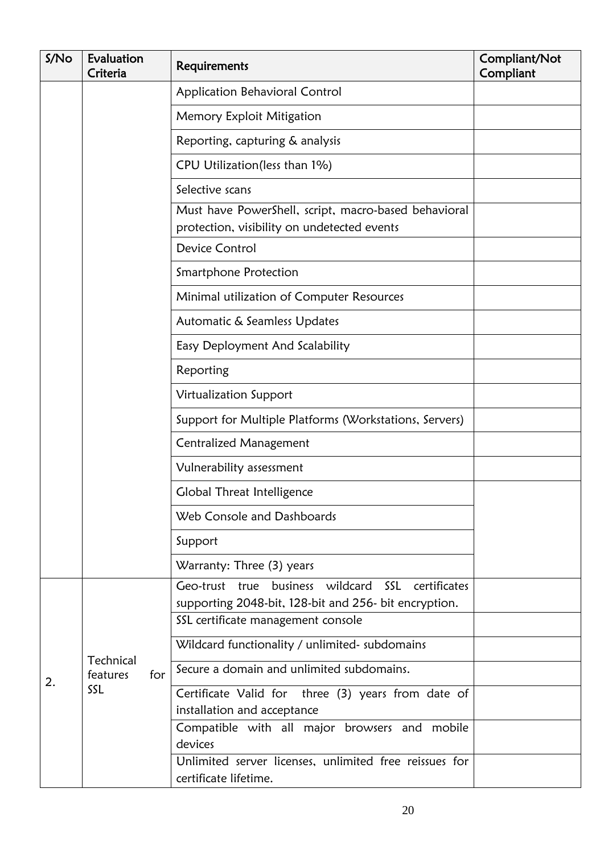| S/No | Evaluation<br>Criteria              | Requirements                                                                                               | Compliant/Not<br>Compliant |
|------|-------------------------------------|------------------------------------------------------------------------------------------------------------|----------------------------|
|      |                                     | Application Behavioral Control                                                                             |                            |
|      |                                     | Memory Exploit Mitigation                                                                                  |                            |
|      |                                     | Reporting, capturing & analysis                                                                            |                            |
|      |                                     | CPU Utilization(less than 1%)                                                                              |                            |
|      |                                     | Selective scans                                                                                            |                            |
|      |                                     | Must have PowerShell, script, macro-based behavioral<br>protection, visibility on undetected events        |                            |
|      |                                     | Device Control                                                                                             |                            |
|      |                                     | Smartphone Protection                                                                                      |                            |
|      |                                     | Minimal utilization of Computer Resources                                                                  |                            |
|      |                                     | Automatic & Seamless Updates                                                                               |                            |
|      |                                     | Easy Deployment And Scalability                                                                            |                            |
|      |                                     | Reporting                                                                                                  |                            |
|      |                                     | Virtualization Support                                                                                     |                            |
|      |                                     | Support for Multiple Platforms (Workstations, Servers)                                                     |                            |
|      |                                     | <b>Centralized Management</b>                                                                              |                            |
|      |                                     | Vulnerability assessment                                                                                   |                            |
|      |                                     | Global Threat Intelligence                                                                                 |                            |
|      |                                     | Web Console and Dashboards                                                                                 |                            |
|      |                                     | Support                                                                                                    |                            |
|      |                                     | Warranty: Three (3) years                                                                                  |                            |
|      |                                     | Geo-trust true business wildcard SSL certificates<br>supporting 2048-bit, 128-bit and 256- bit encryption. |                            |
|      |                                     | SSL certificate management console                                                                         |                            |
|      | Technical<br>features<br>for<br>SSL | Wildcard functionality / unlimited- subdomains                                                             |                            |
| 2.   |                                     | Secure a domain and unlimited subdomains.                                                                  |                            |
|      |                                     | Certificate Valid for three (3) years from date of                                                         |                            |
|      |                                     | installation and acceptance<br>Compatible with all major browsers and mobile                               |                            |
|      |                                     | devices                                                                                                    |                            |
|      |                                     | Unlimited server licenses, unlimited free reissues for<br>certificate lifetime.                            |                            |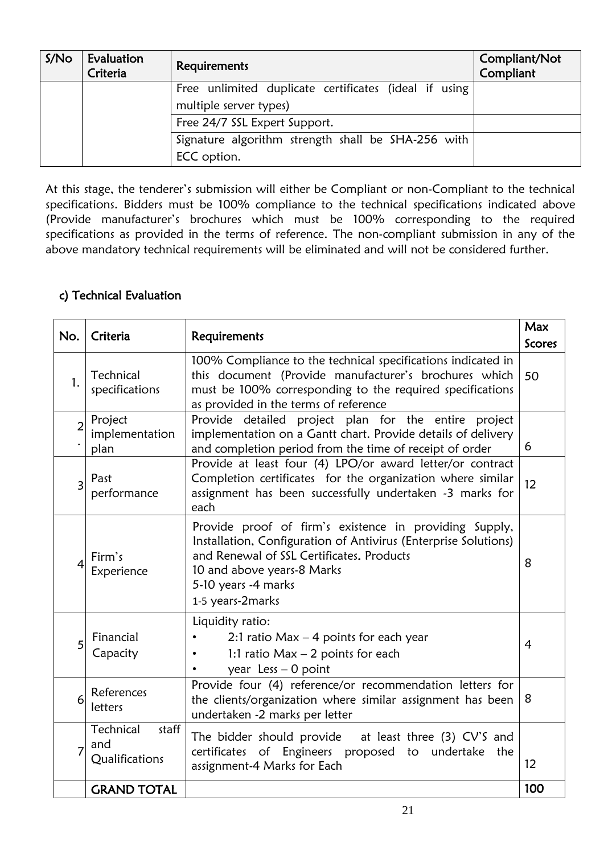| S/N <sub>O</sub> | Evaluation<br>Criteria | Requirements                                            | Compliant/Not<br>Compliant |
|------------------|------------------------|---------------------------------------------------------|----------------------------|
|                  |                        | Free unlimited duplicate certificates (ideal if using   |                            |
|                  |                        | multiple server types)<br>Free 24/7 SSL Expert Support. |                            |
|                  |                        | Signature algorithm strength shall be SHA-256 with      |                            |
|                  |                        | ECC option.                                             |                            |

At this stage, the tenderer"s submission will either be Compliant or non-Compliant to the technical specifications. Bidders must be 100% compliance to the technical specifications indicated above (Provide manufacturer"s brochures which must be 100% corresponding to the required specifications as provided in the terms of reference. The non-compliant submission in any of the above mandatory technical requirements will be eliminated and will not be considered further.

## c) Technical Evaluation

| No.            | Criteria                                    | Requirements                                                                                                                                                                                                                                    | <b>Max</b><br><b>Scores</b> |
|----------------|---------------------------------------------|-------------------------------------------------------------------------------------------------------------------------------------------------------------------------------------------------------------------------------------------------|-----------------------------|
| $\mathbf{1}$ . | Technical<br>specifications                 | 100% Compliance to the technical specifications indicated in<br>this document (Provide manufacturer's brochures which<br>must be 100% corresponding to the required specifications<br>as provided in the terms of reference                     | 50                          |
| $\overline{2}$ | Project<br>implementation<br>plan           | Provide detailed project plan for the entire project<br>implementation on a Gantt chart. Provide details of delivery<br>and completion period from the time of receipt of order                                                                 | 6                           |
| 3              | Past<br>performance                         | Provide at least four (4) LPO/or award letter/or contract<br>Completion certificates for the organization where similar<br>assignment has been successfully undertaken -3 marks for<br>each                                                     | 12                          |
| 4              | Firm's<br>Experience                        | Provide proof of firm's existence in providing Supply,<br>Installation, Configuration of Antivirus (Enterprise Solutions)<br>and Renewal of SSL Certificates. Products<br>10 and above years-8 Marks<br>5-10 years -4 marks<br>1-5 years-2marks | 8                           |
| 5              | Financial<br>Capacity                       | Liquidity ratio:<br>2:1 ratio Max $-$ 4 points for each year<br>1:1 ratio $Max - 2$ points for each<br>year $less -0$ point                                                                                                                     | 4                           |
| 6              | References<br>letters                       | Provide four (4) reference/or recommendation letters for<br>the clients/organization where similar assignment has been<br>undertaken -2 marks per letter                                                                                        | 8                           |
|                | Technical<br>staff<br>and<br>Qualifications | The bidder should provide at least three (3) CV'S and<br>certificates of Engineers proposed to undertake<br>the<br>assignment-4 Marks for Each                                                                                                  | 12                          |
|                | <b>GRAND TOTAL</b>                          |                                                                                                                                                                                                                                                 | 100                         |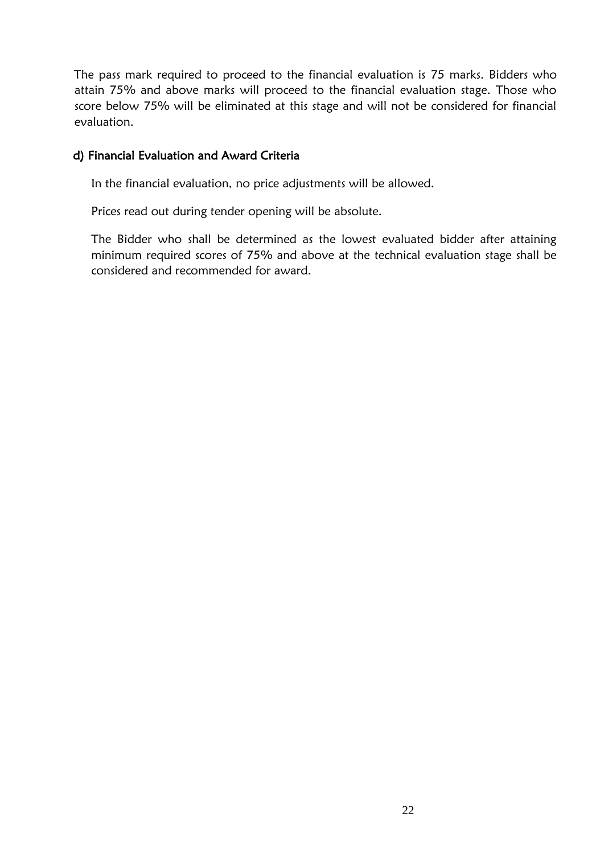The pass mark required to proceed to the financial evaluation is 75 marks. Bidders who attain 75% and above marks will proceed to the financial evaluation stage. Those who score below 75% will be eliminated at this stage and will not be considered for financial evaluation.

## <span id="page-22-0"></span>d) Financial Evaluation and Award Criteria

In the financial evaluation, no price adjustments will be allowed.

Prices read out during tender opening will be absolute.

The Bidder who shall be determined as the lowest evaluated bidder after attaining minimum required scores of 75% and above at the technical evaluation stage shall be considered and recommended for award.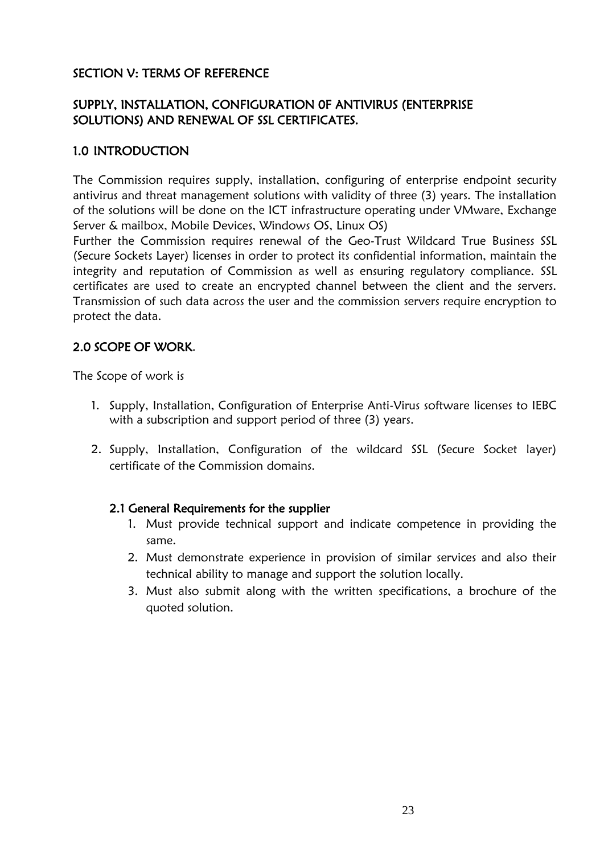## SECTION V: TERMS OF REFERENCE

## SUPPLY, INSTALLATION, CONFIGURATION 0F ANTIVIRUS (ENTERPRISE SOLUTIONS) AND RENEWAL OF SSL CERTIFICATES.

## 1.0 INTRODUCTION

The Commission requires supply, installation, configuring of enterprise endpoint security antivirus and threat management solutions with validity of three (3) years. The installation of the solutions will be done on the ICT infrastructure operating under VMware, Exchange Server & mailbox, Mobile Devices, Windows OS, Linux OS)

Further the Commission requires renewal of the Geo-Trust Wildcard True Business SSL (Secure Sockets Layer) licenses in order to protect its confidential information, maintain the integrity and reputation of Commission as well as ensuring regulatory compliance. SSL certificates are used to create an encrypted channel between the client and the servers. Transmission of such data across the user and the commission servers require encryption to protect the data.

## 2.0 SCOPE OF WORK.

The Scope of work is

- 1. Supply, Installation, Configuration of Enterprise Anti-Virus software licenses to IEBC with a subscription and support period of three (3) years.
- 2. Supply, Installation, Configuration of the wildcard SSL (Secure Socket layer) certificate of the Commission domains.

## 2.1 General Requirements for the supplier

- 1. Must provide technical support and indicate competence in providing the same.
- 2. Must demonstrate experience in provision of similar services and also their technical ability to manage and support the solution locally.
- 3. Must also submit along with the written specifications, a brochure of the quoted solution.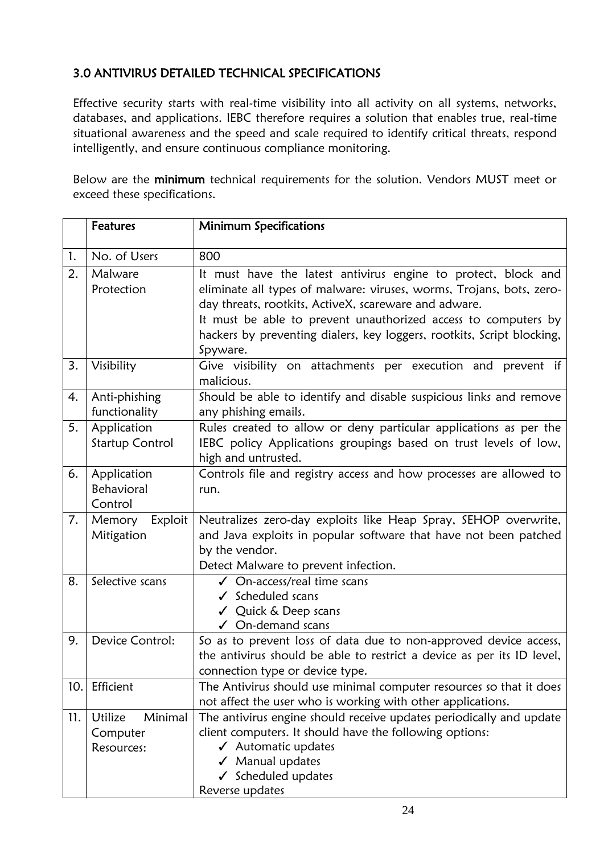# 3.0 ANTIVIRUS DETAILED TECHNICAL SPECIFICATIONS

Effective security starts with real-time visibility into all activity on all systems, networks, databases, and applications. IEBC therefore requires a solution that enables true, real-time situational awareness and the speed and scale required to identify critical threats, respond intelligently, and ensure continuous compliance monitoring.

Below are the minimum technical requirements for the solution. Vendors MUST meet or exceed these specifications.

|     | <b>Features</b>                              | <b>Minimum Specifications</b>                                                                                                                                                                                                                                                                                                                           |
|-----|----------------------------------------------|---------------------------------------------------------------------------------------------------------------------------------------------------------------------------------------------------------------------------------------------------------------------------------------------------------------------------------------------------------|
| 1.  | No. of Users                                 | 800                                                                                                                                                                                                                                                                                                                                                     |
| 2.  | Malware<br>Protection                        | It must have the latest antivirus engine to protect, block and<br>eliminate all types of malware: viruses, worms, Trojans, bots, zero-<br>day threats, rootkits, ActiveX, scareware and adware.<br>It must be able to prevent unauthorized access to computers by<br>hackers by preventing dialers, key loggers, rootkits, Script blocking,<br>Spyware. |
| 3.  | Visibility                                   | Give visibility on attachments per execution and prevent if<br>malicious.                                                                                                                                                                                                                                                                               |
| 4.  | Anti-phishing<br>functionality               | Should be able to identify and disable suspicious links and remove<br>any phishing emails.                                                                                                                                                                                                                                                              |
| 5.  | Application<br><b>Startup Control</b>        | Rules created to allow or deny particular applications as per the<br>IEBC policy Applications groupings based on trust levels of low,<br>high and untrusted.                                                                                                                                                                                            |
| 6.  | Application<br>Behavioral<br>Control         | Controls file and registry access and how processes are allowed to<br>run.                                                                                                                                                                                                                                                                              |
| 7.  | Memory Exploit<br>Mitigation                 | Neutralizes zero-day exploits like Heap Spray, SEHOP overwrite,<br>and Java exploits in popular software that have not been patched<br>by the vendor.<br>Detect Malware to prevent infection.                                                                                                                                                           |
| 8.  | Selective scans                              | √ On-access/real time scans<br>$\checkmark$ Scheduled scans<br>√ Quick & Deep scans<br>$\checkmark$ On-demand scans                                                                                                                                                                                                                                     |
| 9.  | Device Control:                              | So as to prevent loss of data due to non-approved device access,<br>the antivirus should be able to restrict a device as per its ID level,<br>connection type or device type.                                                                                                                                                                           |
| 10. | Efficient                                    | The Antivirus should use minimal computer resources so that it does<br>not affect the user who is working with other applications.                                                                                                                                                                                                                      |
| 11. | Minimal<br>Utilize<br>Computer<br>Resources: | The antivirus engine should receive updates periodically and update<br>client computers. It should have the following options:<br>$\checkmark$ Automatic updates<br>✔ Manual updates<br>✔ Scheduled updates<br>Reverse updates                                                                                                                          |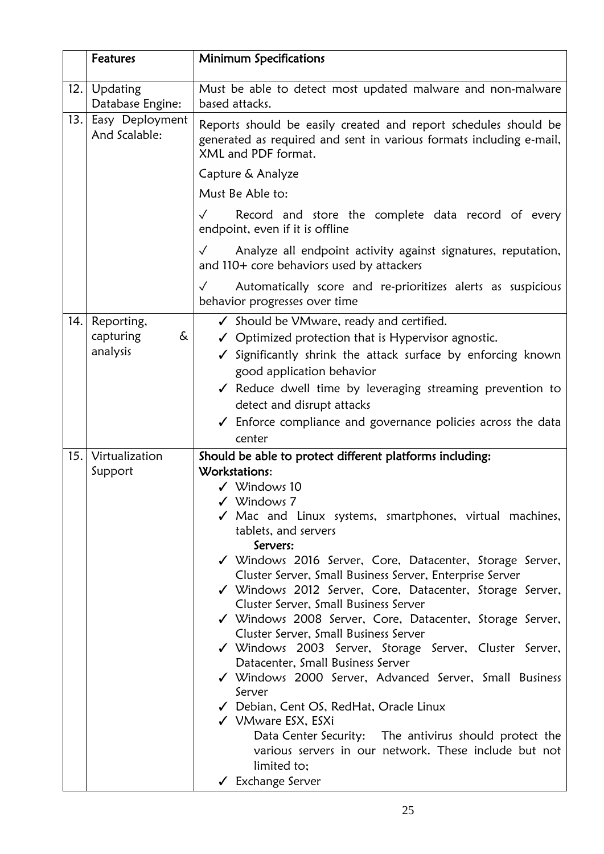|      | <b>Features</b>                          | <b>Minimum Specifications</b>                                                                                                                                                                                                                                                                                                                                                                                                                                                                                                                                                                                                                                                                                                                                                                                                                                                                                                                              |
|------|------------------------------------------|------------------------------------------------------------------------------------------------------------------------------------------------------------------------------------------------------------------------------------------------------------------------------------------------------------------------------------------------------------------------------------------------------------------------------------------------------------------------------------------------------------------------------------------------------------------------------------------------------------------------------------------------------------------------------------------------------------------------------------------------------------------------------------------------------------------------------------------------------------------------------------------------------------------------------------------------------------|
|      | 12. Updating<br>Database Engine:         | Must be able to detect most updated malware and non-malware<br>based attacks.                                                                                                                                                                                                                                                                                                                                                                                                                                                                                                                                                                                                                                                                                                                                                                                                                                                                              |
| 13.  | Easy Deployment<br>And Scalable:         | Reports should be easily created and report schedules should be<br>generated as required and sent in various formats including e-mail,<br>XML and PDF format.                                                                                                                                                                                                                                                                                                                                                                                                                                                                                                                                                                                                                                                                                                                                                                                              |
|      |                                          | Capture & Analyze                                                                                                                                                                                                                                                                                                                                                                                                                                                                                                                                                                                                                                                                                                                                                                                                                                                                                                                                          |
|      |                                          | Must Be Able to:                                                                                                                                                                                                                                                                                                                                                                                                                                                                                                                                                                                                                                                                                                                                                                                                                                                                                                                                           |
|      |                                          | Record and store the complete data record of every<br>$\checkmark$<br>endpoint, even if it is offline                                                                                                                                                                                                                                                                                                                                                                                                                                                                                                                                                                                                                                                                                                                                                                                                                                                      |
|      |                                          | Analyze all endpoint activity against signatures, reputation,<br>$\checkmark$<br>and 110+ core behaviors used by attackers                                                                                                                                                                                                                                                                                                                                                                                                                                                                                                                                                                                                                                                                                                                                                                                                                                 |
|      |                                          | Automatically score and re-prioritizes alerts as suspicious<br>$\checkmark$<br>behavior progresses over time                                                                                                                                                                                                                                                                                                                                                                                                                                                                                                                                                                                                                                                                                                                                                                                                                                               |
| 14.  | Reporting,<br>capturing<br>&<br>analysis | ✓ Should be VMware, ready and certified.<br>$\checkmark$ Optimized protection that is Hypervisor agnostic.<br>Significantly shrink the attack surface by enforcing known<br>good application behavior<br>√ Reduce dwell time by leveraging streaming prevention to<br>detect and disrupt attacks<br>$\checkmark$ Enforce compliance and governance policies across the data<br>center                                                                                                                                                                                                                                                                                                                                                                                                                                                                                                                                                                      |
| 15.1 | Virtualization<br>Support                | Should be able to protect different platforms including:<br>Workstations:<br>$\checkmark$ Windows 10<br>$\checkmark$ Windows 7<br>√ Mac and Linux systems, smartphones, virtual machines,<br>tablets, and servers<br>Servers:<br>√ Windows 2016 Server, Core, Datacenter, Storage Server,<br>Cluster Server, Small Business Server, Enterprise Server<br>√ Windows 2012 Server, Core, Datacenter, Storage Server,<br>Cluster Server, Small Business Server<br>√ Windows 2008 Server, Core, Datacenter, Storage Server,<br>Cluster Server, Small Business Server<br>√ Windows 2003 Server, Storage Server, Cluster Server,<br>Datacenter, Small Business Server<br>√ Windows 2000 Server, Advanced Server, Small Business<br>Server<br>√ Debian, Cent OS, RedHat, Oracle Linux<br>√ VMware ESX, ESXi<br>Data Center Security: The antivirus should protect the<br>various servers in our network. These include but not<br>limited to:<br>✔ Exchange Server |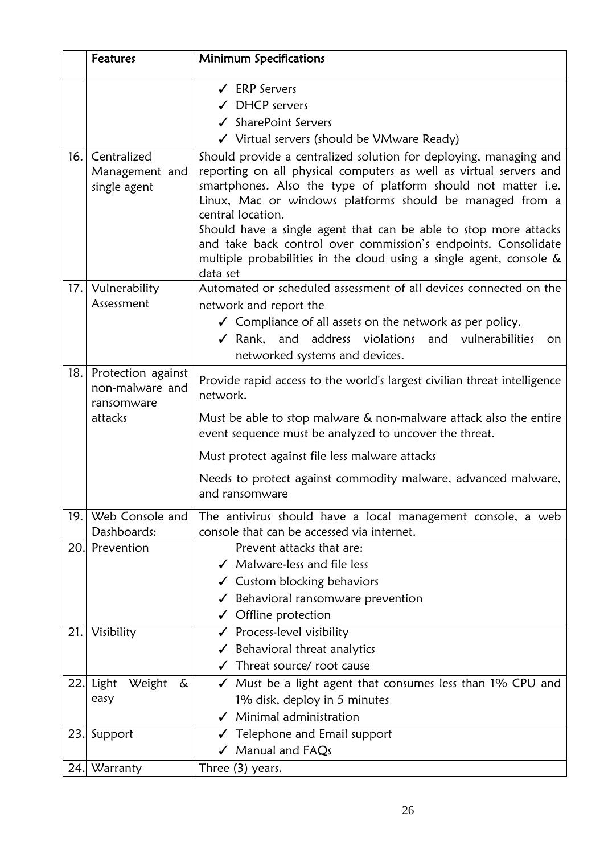|     | <b>Features</b>                                     | <b>Minimum Specifications</b>                                                                                                                                                                                                                                                                                                                                                                                                                                                                                      |
|-----|-----------------------------------------------------|--------------------------------------------------------------------------------------------------------------------------------------------------------------------------------------------------------------------------------------------------------------------------------------------------------------------------------------------------------------------------------------------------------------------------------------------------------------------------------------------------------------------|
|     |                                                     | $\checkmark$ ERP Servers                                                                                                                                                                                                                                                                                                                                                                                                                                                                                           |
|     |                                                     | $\checkmark$ DHCP servers                                                                                                                                                                                                                                                                                                                                                                                                                                                                                          |
|     |                                                     | ✔ SharePoint Servers                                                                                                                                                                                                                                                                                                                                                                                                                                                                                               |
|     |                                                     | √ Virtual servers (should be VMware Ready)                                                                                                                                                                                                                                                                                                                                                                                                                                                                         |
| 16. | Centralized<br>Management and<br>single agent       | Should provide a centralized solution for deploying, managing and<br>reporting on all physical computers as well as virtual servers and<br>smartphones. Also the type of platform should not matter i.e.<br>Linux, Mac or windows platforms should be managed from a<br>central location.<br>Should have a single agent that can be able to stop more attacks<br>and take back control over commission's endpoints. Consolidate<br>multiple probabilities in the cloud using a single agent, console &<br>data set |
|     | 17. Vulnerability                                   | Automated or scheduled assessment of all devices connected on the                                                                                                                                                                                                                                                                                                                                                                                                                                                  |
|     | Assessment                                          | network and report the<br>✔ Compliance of all assets on the network as per policy.<br>√ Rank, and address violations and vulnerabilities<br>on.<br>networked systems and devices.                                                                                                                                                                                                                                                                                                                                  |
| 18. | Protection against<br>non-malware and<br>ransomware | Provide rapid access to the world's largest civilian threat intelligence<br>network.                                                                                                                                                                                                                                                                                                                                                                                                                               |
|     | attacks                                             | Must be able to stop malware & non-malware attack also the entire<br>event sequence must be analyzed to uncover the threat.                                                                                                                                                                                                                                                                                                                                                                                        |
|     |                                                     | Must protect against file less malware attacks                                                                                                                                                                                                                                                                                                                                                                                                                                                                     |
|     |                                                     | Needs to protect against commodity malware, advanced malware,<br>and ransomware                                                                                                                                                                                                                                                                                                                                                                                                                                    |
| 19. | Web Console and<br>Dashboards:                      | The antivirus should have a local management console, a web<br>console that can be accessed via internet.                                                                                                                                                                                                                                                                                                                                                                                                          |
| 20. | Prevention                                          | Prevent attacks that are:                                                                                                                                                                                                                                                                                                                                                                                                                                                                                          |
|     |                                                     | $\checkmark$ Malware-less and file less                                                                                                                                                                                                                                                                                                                                                                                                                                                                            |
|     |                                                     | $\checkmark$ Custom blocking behaviors                                                                                                                                                                                                                                                                                                                                                                                                                                                                             |
|     |                                                     | Behavioral ransomware prevention<br>✓                                                                                                                                                                                                                                                                                                                                                                                                                                                                              |
|     |                                                     | $\checkmark$ Offline protection                                                                                                                                                                                                                                                                                                                                                                                                                                                                                    |
| 21. | Visibility                                          | $\checkmark$ Process-level visibility                                                                                                                                                                                                                                                                                                                                                                                                                                                                              |
|     |                                                     | $\checkmark$ Behavioral threat analytics                                                                                                                                                                                                                                                                                                                                                                                                                                                                           |
|     |                                                     | $\checkmark$ Threat source/ root cause                                                                                                                                                                                                                                                                                                                                                                                                                                                                             |
|     | $22$ . Light<br>Weight<br>&                         | $\checkmark$ Must be a light agent that consumes less than 1% CPU and                                                                                                                                                                                                                                                                                                                                                                                                                                              |
|     | easy                                                | 1% disk, deploy in 5 minutes                                                                                                                                                                                                                                                                                                                                                                                                                                                                                       |
|     |                                                     | $\checkmark$ Minimal administration                                                                                                                                                                                                                                                                                                                                                                                                                                                                                |
| 23. | Support                                             | $\checkmark$ Telephone and Email support                                                                                                                                                                                                                                                                                                                                                                                                                                                                           |
|     |                                                     | √ Manual and FAQs                                                                                                                                                                                                                                                                                                                                                                                                                                                                                                  |
|     | 24. Warranty                                        | Three (3) years.                                                                                                                                                                                                                                                                                                                                                                                                                                                                                                   |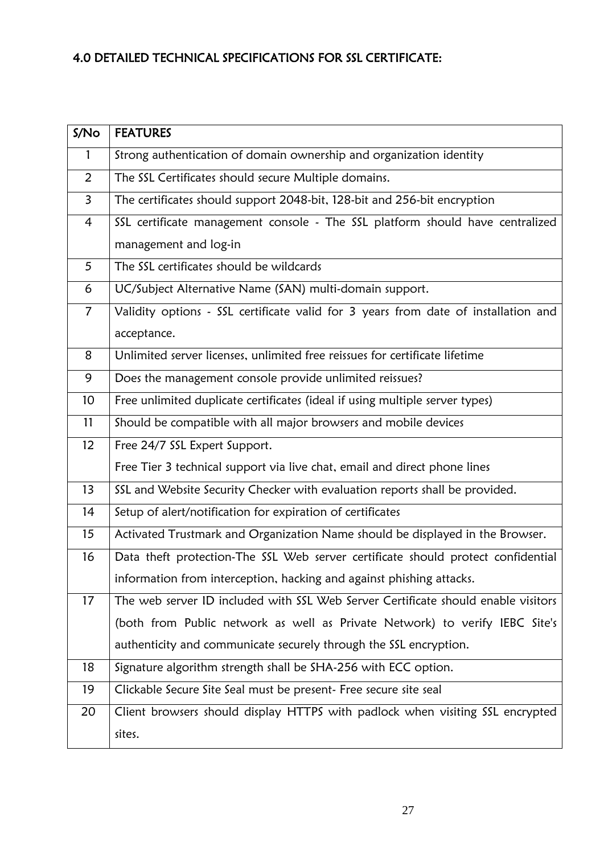# 4.0 DETAILED TECHNICAL SPECIFICATIONS FOR SSL CERTIFICATE:

| S/N <sub>O</sub> | <b>FEATURES</b>                                                                    |
|------------------|------------------------------------------------------------------------------------|
| 1                | Strong authentication of domain ownership and organization identity                |
| $\overline{2}$   | The SSL Certificates should secure Multiple domains.                               |
| $\overline{3}$   | The certificates should support 2048-bit, 128-bit and 256-bit encryption           |
| 4                | SSL certificate management console - The SSL platform should have centralized      |
|                  | management and log-in                                                              |
| 5                | The SSL certificates should be wildcards                                           |
| 6                | UC/Subject Alternative Name (SAN) multi-domain support.                            |
| $\overline{7}$   | Validity options - SSL certificate valid for 3 years from date of installation and |
|                  | acceptance.                                                                        |
| 8                | Unlimited server licenses, unlimited free reissues for certificate lifetime        |
| 9                | Does the management console provide unlimited reissues?                            |
| 10               | Free unlimited duplicate certificates (ideal if using multiple server types)       |
| 11               | Should be compatible with all major browsers and mobile devices                    |
| 12               | Free 24/7 SSL Expert Support.                                                      |
|                  | Free Tier 3 technical support via live chat, email and direct phone lines          |
| 13               | SSL and Website Security Checker with evaluation reports shall be provided.        |
| 14               | Setup of alert/notification for expiration of certificates                         |
| 15               | Activated Trustmark and Organization Name should be displayed in the Browser.      |
| 16               | Data theft protection-The SSL Web server certificate should protect confidential   |
|                  | information from interception, hacking and against phishing attacks.               |
| 17               | The web server ID included with SSL Web Server Certificate should enable visitors  |
|                  | (both from Public network as well as Private Network) to verify IEBC Site's        |
|                  | authenticity and communicate securely through the SSL encryption.                  |
| 18               | Signature algorithm strength shall be SHA-256 with ECC option.                     |
| 19               | Clickable Secure Site Seal must be present- Free secure site seal                  |
| 20               | Client browsers should display HTTPS with padlock when visiting SSL encrypted      |
|                  | sites.                                                                             |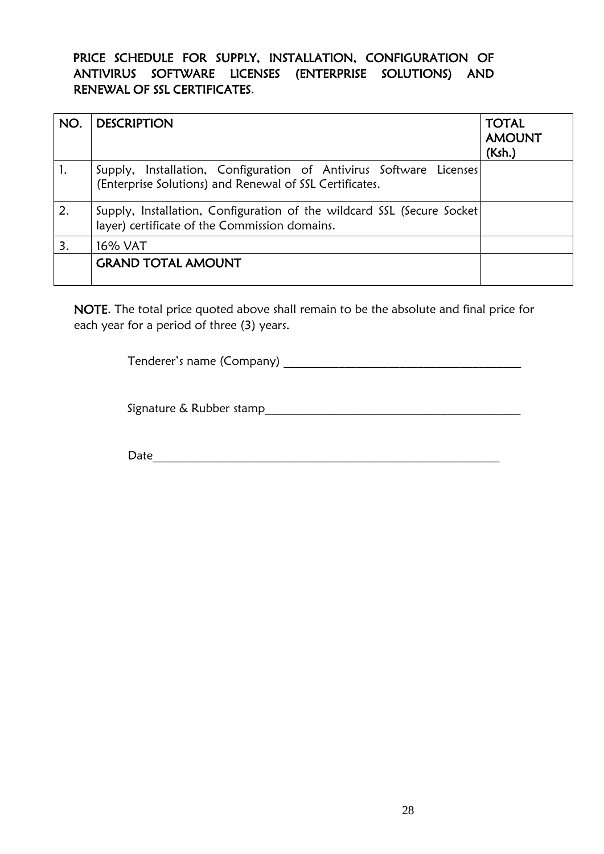## <span id="page-28-0"></span>PRICE SCHEDULE FOR SUPPLY, INSTALLATION, CONFIGURATION OF ANTIVIRUS SOFTWARE LICENSES (ENTERPRISE SOLUTIONS) AND RENEWAL OF SSL CERTIFICATES.

| NO. | <b>DESCRIPTION</b>                                                                                                            | <b>TOTAL</b><br><b>AMOUNT</b><br>(Ksh.) |
|-----|-------------------------------------------------------------------------------------------------------------------------------|-----------------------------------------|
|     | Supply, Installation, Configuration of Antivirus Software Licenses<br>(Enterprise Solutions) and Renewal of SSL Certificates. |                                         |
| 2.  | Supply, Installation, Configuration of the wildcard SSL (Secure Socket<br>layer) certificate of the Commission domains.       |                                         |
| 3.  | 16% VAT                                                                                                                       |                                         |
|     | <b>GRAND TOTAL AMOUNT</b>                                                                                                     |                                         |

NOTE. The total price quoted above shall remain to be the absolute and final price for each year for a period of three (3) years.

Tenderer"s name (Company) \_\_\_\_\_\_\_\_\_\_\_\_\_\_\_\_\_\_\_\_\_\_\_\_\_\_\_\_\_\_\_\_\_\_\_\_\_\_\_

Signature & Rubber stamp\_\_\_\_\_\_\_\_\_\_\_\_\_\_\_\_\_\_\_\_\_\_\_\_\_\_\_\_\_\_\_\_\_\_\_\_\_\_\_\_\_\_

Date\_\_\_\_\_\_\_\_\_\_\_\_\_\_\_\_\_\_\_\_\_\_\_\_\_\_\_\_\_\_\_\_\_\_\_\_\_\_\_\_\_\_\_\_\_\_\_\_\_\_\_\_\_\_\_\_\_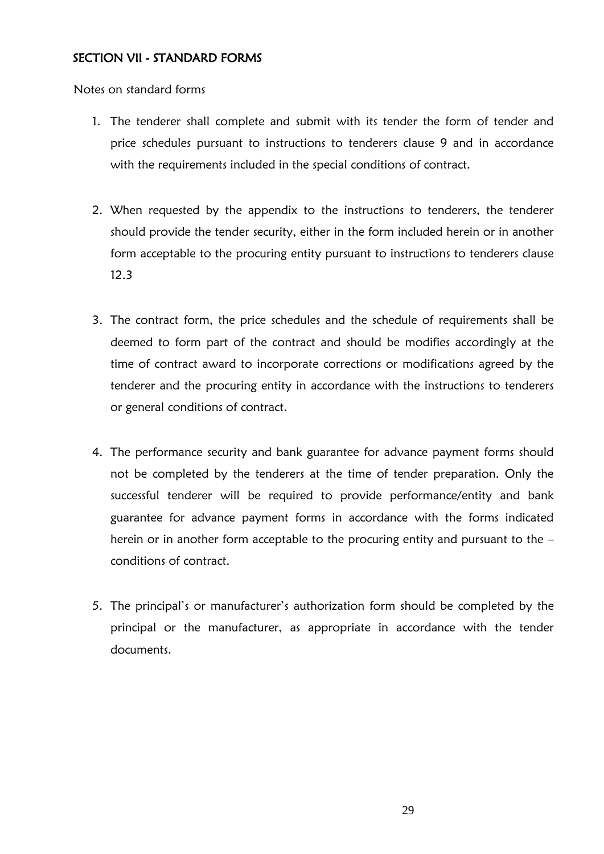### <span id="page-29-0"></span>SECTION VII - STANDARD FORMS

Notes on standard forms

- 1. The tenderer shall complete and submit with its tender the form of tender and price schedules pursuant to instructions to tenderers clause 9 and in accordance with the requirements included in the special conditions of contract.
- 2. When requested by the appendix to the instructions to tenderers, the tenderer should provide the tender security, either in the form included herein or in another form acceptable to the procuring entity pursuant to instructions to tenderers clause 12.3
- 3. The contract form, the price schedules and the schedule of requirements shall be deemed to form part of the contract and should be modifies accordingly at the time of contract award to incorporate corrections or modifications agreed by the tenderer and the procuring entity in accordance with the instructions to tenderers or general conditions of contract.
- 4. The performance security and bank guarantee for advance payment forms should not be completed by the tenderers at the time of tender preparation. Only the successful tenderer will be required to provide performance/entity and bank guarantee for advance payment forms in accordance with the forms indicated herein or in another form acceptable to the procuring entity and pursuant to the – conditions of contract.
- 5. The principal"s or manufacturer"s authorization form should be completed by the principal or the manufacturer, as appropriate in accordance with the tender documents.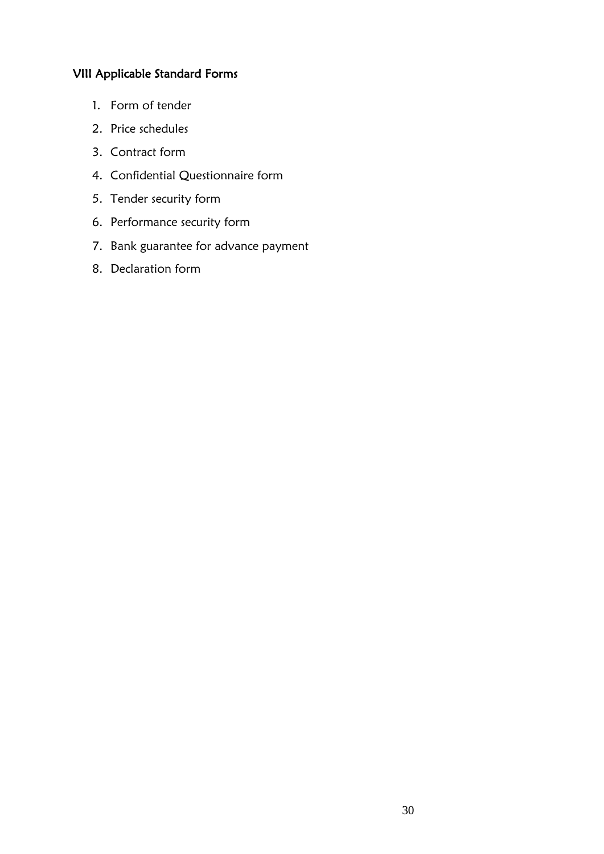## <span id="page-30-0"></span>VIII Applicable Standard Forms

- 1. Form of tender
- 2. Price schedules
- 3. Contract form
- 4. Confidential Questionnaire form
- 5. Tender security form
- 6. Performance security form
- 7. Bank guarantee for advance payment
- 8. Declaration form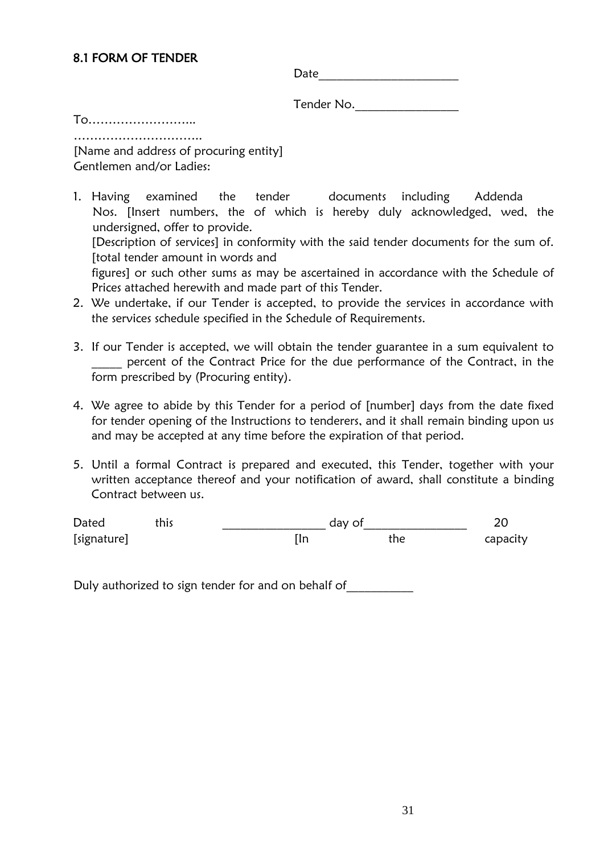| Date |
|------|
|------|

Tender No.\_\_\_\_\_\_\_\_\_\_\_\_\_\_\_\_\_

<span id="page-31-0"></span>To……………………... …………………………..

[Name and address of procuring entity] Gentlemen and/or Ladies:

- 1. Having examined the tender documents including Addenda Nos. [Insert numbers, the of which is hereby duly acknowledged, wed, the undersigned, offer to provide. [Description of services] in conformity with the said tender documents for the sum of. [total tender amount in words and figures] or such other sums as may be ascertained in accordance with the Schedule of Prices attached herewith and made part of this Tender.
- 2. We undertake, if our Tender is accepted, to provide the services in accordance with the services schedule specified in the Schedule of Requirements.
- 3. If our Tender is accepted, we will obtain the tender guarantee in a sum equivalent to percent of the Contract Price for the due performance of the Contract, in the form prescribed by (Procuring entity).
- 4. We agree to abide by this Tender for a period of [number] days from the date fixed for tender opening of the Instructions to tenderers, and it shall remain binding upon us and may be accepted at any time before the expiration of that period.
- 5. Until a formal Contract is prepared and executed, this Tender, together with your written acceptance thereof and your notification of award, shall constitute a binding Contract between us.

Dated this and this and the set of  $\frac{1}{20}$ [signature] [In the capacity capacity]

Duly authorized to sign tender for and on behalf of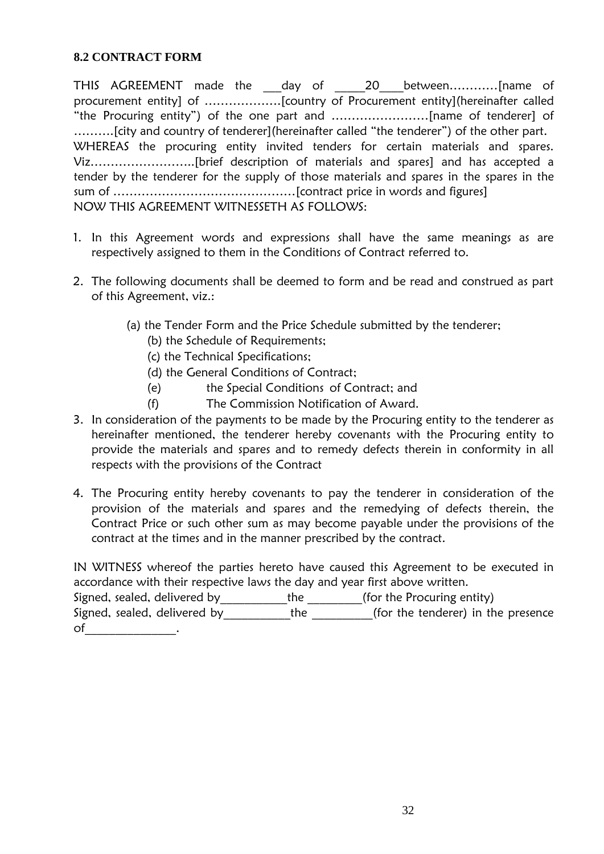#### <span id="page-32-0"></span>**8.2 CONTRACT FORM**

THIS AGREEMENT made the \_\_\_day of \_\_\_\_\_20\_\_\_between............[name of procurement entity] of ……………….[country of Procurement entity](hereinafter called "the Procuring entity") of the one part and ……………………[name of tenderer] of ……….[city and country of tenderer](hereinafter called "the tenderer") of the other part. WHEREAS the procuring entity invited tenders for certain materials and spares. Viz……………………..[brief description of materials and spares] and has accepted a tender by the tenderer for the supply of those materials and spares in the spares in the sum of ………………………………………[contract price in words and figures] NOW THIS AGREEMENT WITNESSETH AS FOLLOWS:

- 1. In this Agreement words and expressions shall have the same meanings as are respectively assigned to them in the Conditions of Contract referred to.
- 2. The following documents shall be deemed to form and be read and construed as part of this Agreement, viz.:
	- (a) the Tender Form and the Price Schedule submitted by the tenderer;
		- (b) the Schedule of Requirements;
		- (c) the Technical Specifications;
		- (d) the General Conditions of Contract;
		- (e) the Special Conditions of Contract; and
		- (f) The Commission Notification of Award.
- 3. In consideration of the payments to be made by the Procuring entity to the tenderer as hereinafter mentioned, the tenderer hereby covenants with the Procuring entity to provide the materials and spares and to remedy defects therein in conformity in all respects with the provisions of the Contract
- 4. The Procuring entity hereby covenants to pay the tenderer in consideration of the provision of the materials and spares and the remedying of defects therein, the Contract Price or such other sum as may become payable under the provisions of the contract at the times and in the manner prescribed by the contract.

IN WITNESS whereof the parties hereto have caused this Agreement to be executed in accordance with their respective laws the day and year first above written.

Signed, sealed, delivered by \_\_\_\_\_\_\_\_\_\_\_\_the \_\_\_\_\_\_\_\_(for the Procuring entity) Signed, sealed, delivered by the the for the tenderer) in the presence

of  $\qquad \qquad \qquad$  .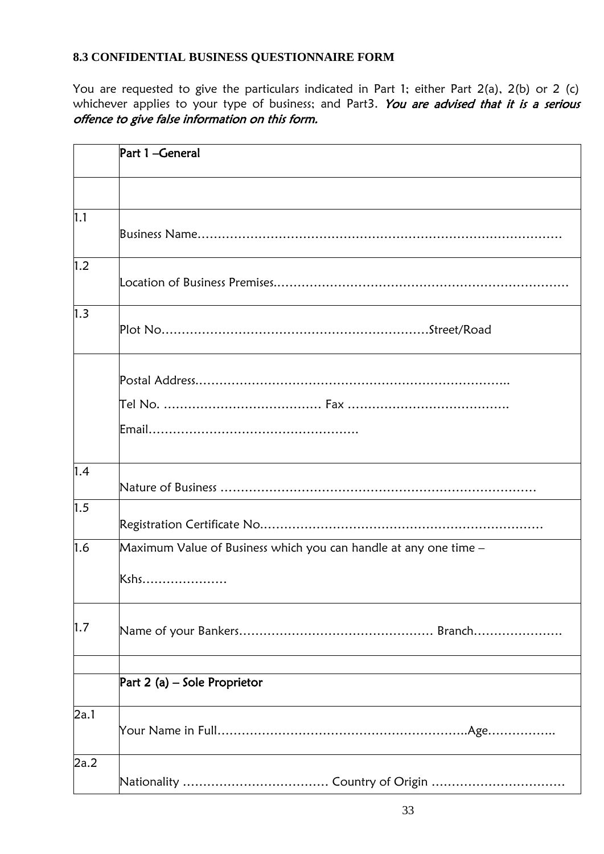# <span id="page-33-0"></span>**8.3 CONFIDENTIAL BUSINESS QUESTIONNAIRE FORM**

You are requested to give the particulars indicated in Part 1; either Part 2(a), 2(b) or 2 (c) whichever applies to your type of business; and Part3. You are advised that it is a serious offence to give false information on this form.

|      | Part 1-General                                                           |
|------|--------------------------------------------------------------------------|
|      |                                                                          |
| 1.1  |                                                                          |
| 1.2  |                                                                          |
| 1.3  |                                                                          |
|      |                                                                          |
|      |                                                                          |
| 1.4  |                                                                          |
| 1.5  |                                                                          |
| 1.6  | Maximum Value of Business which you can handle at any one time –<br>Kshs |
| 1.7  |                                                                          |
|      | Part 2 (a) – Sole Proprietor                                             |
| 2a.1 |                                                                          |
| 2a.2 |                                                                          |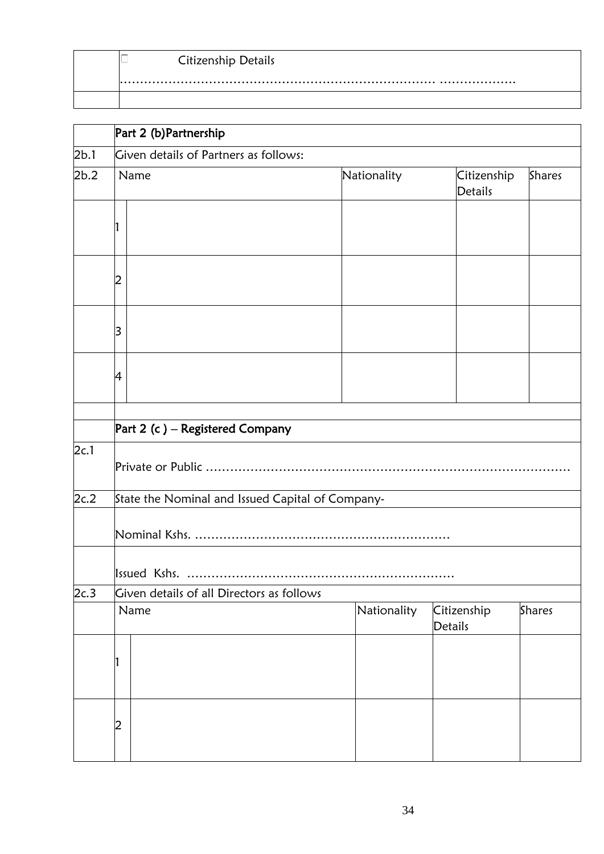| <b>Citizenship Details</b> |
|----------------------------|
|                            |

|      | Part 2 (b) Partnership                |                                                  |             |                               |               |  |  |
|------|---------------------------------------|--------------------------------------------------|-------------|-------------------------------|---------------|--|--|
| 2b.1 | Given details of Partners as follows: |                                                  |             |                               |               |  |  |
| 2b.2 |                                       | Name                                             | Nationality | Citizenship<br><b>Details</b> | <b>Shares</b> |  |  |
|      | 1                                     |                                                  |             |                               |               |  |  |
|      | 2                                     |                                                  |             |                               |               |  |  |
|      | 3                                     |                                                  |             |                               |               |  |  |
|      | 4                                     |                                                  |             |                               |               |  |  |
|      | Part 2 (c) – Registered Company       |                                                  |             |                               |               |  |  |
| 2c.1 |                                       |                                                  |             |                               |               |  |  |
| 2c.2 |                                       | State the Nominal and Issued Capital of Company- |             |                               |               |  |  |
|      |                                       |                                                  |             |                               |               |  |  |
|      |                                       | Issued Kshs.                                     |             |                               |               |  |  |
| 2c.3 |                                       | Given details of all Directors as follows        |             |                               |               |  |  |
|      |                                       | Name                                             | Nationality | Citizenship<br>Details        | Shares        |  |  |
|      | 1                                     |                                                  |             |                               |               |  |  |
|      | $\overline{c}$                        |                                                  |             |                               |               |  |  |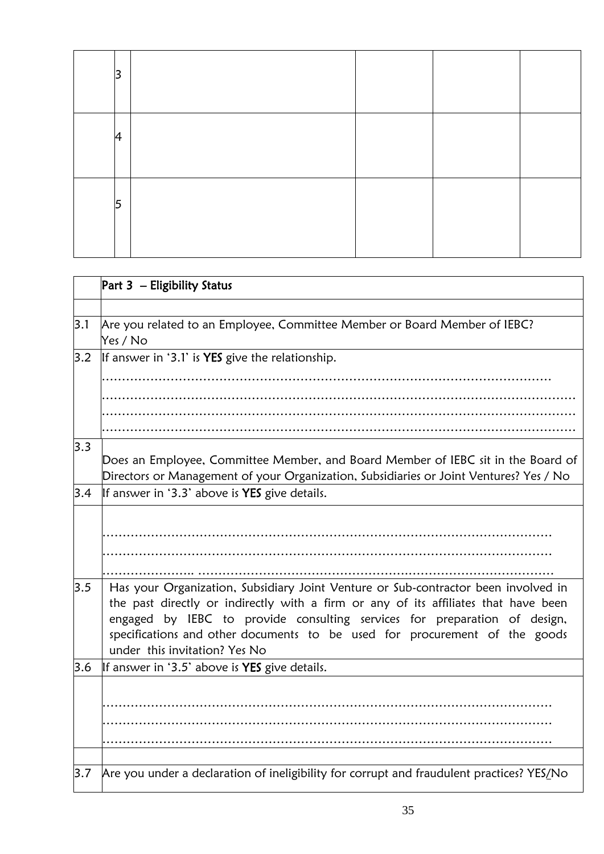| 3  |  |  |
|----|--|--|
| 14 |  |  |
| 5  |  |  |

|     | Part 3 - Eligibility Status                                                                                                                                                                                                                                                                                                                                           |  |  |  |  |
|-----|-----------------------------------------------------------------------------------------------------------------------------------------------------------------------------------------------------------------------------------------------------------------------------------------------------------------------------------------------------------------------|--|--|--|--|
|     |                                                                                                                                                                                                                                                                                                                                                                       |  |  |  |  |
| 3.1 | Are you related to an Employee, Committee Member or Board Member of IEBC?<br>Yes / No                                                                                                                                                                                                                                                                                 |  |  |  |  |
| 3.2 | If answer in '3.1' is YES give the relationship.                                                                                                                                                                                                                                                                                                                      |  |  |  |  |
|     |                                                                                                                                                                                                                                                                                                                                                                       |  |  |  |  |
|     |                                                                                                                                                                                                                                                                                                                                                                       |  |  |  |  |
|     |                                                                                                                                                                                                                                                                                                                                                                       |  |  |  |  |
|     |                                                                                                                                                                                                                                                                                                                                                                       |  |  |  |  |
| 3.3 | Does an Employee, Committee Member, and Board Member of IEBC sit in the Board of<br>Directors or Management of your Organization, Subsidiaries or Joint Ventures? Yes / No                                                                                                                                                                                            |  |  |  |  |
| 3.4 | If answer in '3.3' above is YES give details.                                                                                                                                                                                                                                                                                                                         |  |  |  |  |
|     |                                                                                                                                                                                                                                                                                                                                                                       |  |  |  |  |
| 3.5 | Has your Organization, Subsidiary Joint Venture or Sub-contractor been involved in<br>the past directly or indirectly with a firm or any of its affiliates that have been<br>engaged by IEBC to provide consulting services for preparation of design,<br>specifications and other documents to be used for procurement of the goods<br>under this invitation? Yes No |  |  |  |  |
| 3.6 | If answer in '3.5' above is YES give details.                                                                                                                                                                                                                                                                                                                         |  |  |  |  |
|     |                                                                                                                                                                                                                                                                                                                                                                       |  |  |  |  |
| 3.7 | Are you under a declaration of ineligibility for corrupt and fraudulent practices? YES/No                                                                                                                                                                                                                                                                             |  |  |  |  |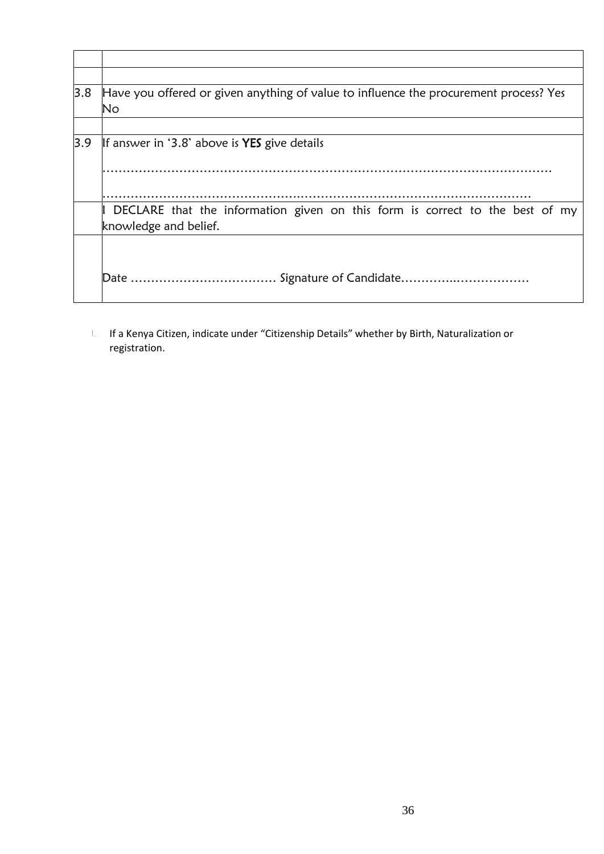| 3.8 | Have you offered or given anything of value to influence the procurement process? Yes<br>No           |
|-----|-------------------------------------------------------------------------------------------------------|
|     |                                                                                                       |
| 3.9 | If answer in '3.8' above is <b>YES</b> give details                                                   |
|     | DECLARE that the information given on this form is correct to the best of my<br>knowledge and belief. |
|     |                                                                                                       |

 $L$  If a Kenya Citizen, indicate under "Citizenship Details" whether by Birth, Naturalization or registration.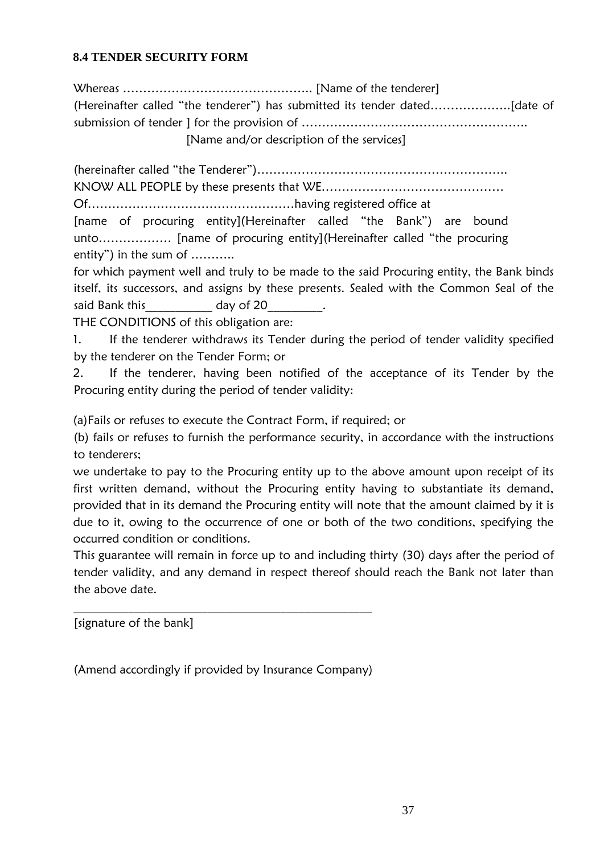### <span id="page-37-0"></span>**8.4 TENDER SECURITY FORM**

Whereas ……………………………………….. [Name of the tenderer] (Hereinafter called "the tenderer") has submitted its tender dated………………..[date of submission of tender ] for the provision of ……………………………………………….. [Name and/or description of the services]

(hereinafter called "the Tenderer")…………………………………………………….. KNOW ALL PEOPLE by these presents that WE………………………………………

Of……………………………………………having registered office at

[name of procuring entity](Hereinafter called "the Bank") are bound unto……………… [name of procuring entity](Hereinafter called "the procuring entity") in the sum of ………..

for which payment well and truly to be made to the said Procuring entity, the Bank binds itself, its successors, and assigns by these presents. Sealed with the Common Seal of the said Bank this day of 20 and Bank this

THE CONDITIONS of this obligation are:

1. If the tenderer withdraws its Tender during the period of tender validity specified by the tenderer on the Tender Form; or

2. If the tenderer, having been notified of the acceptance of its Tender by the Procuring entity during the period of tender validity:

(a)Fails or refuses to execute the Contract Form, if required; or

(b) fails or refuses to furnish the performance security, in accordance with the instructions to tenderers;

we undertake to pay to the Procuring entity up to the above amount upon receipt of its first written demand, without the Procuring entity having to substantiate its demand, provided that in its demand the Procuring entity will note that the amount claimed by it is due to it, owing to the occurrence of one or both of the two conditions, specifying the occurred condition or conditions.

This guarantee will remain in force up to and including thirty (30) days after the period of tender validity, and any demand in respect thereof should reach the Bank not later than the above date.

[signature of the bank]

(Amend accordingly if provided by Insurance Company)

\_\_\_\_\_\_\_\_\_\_\_\_\_\_\_\_\_\_\_\_\_\_\_\_\_\_\_\_\_\_\_\_\_\_\_\_\_\_\_\_\_\_\_\_\_\_\_\_\_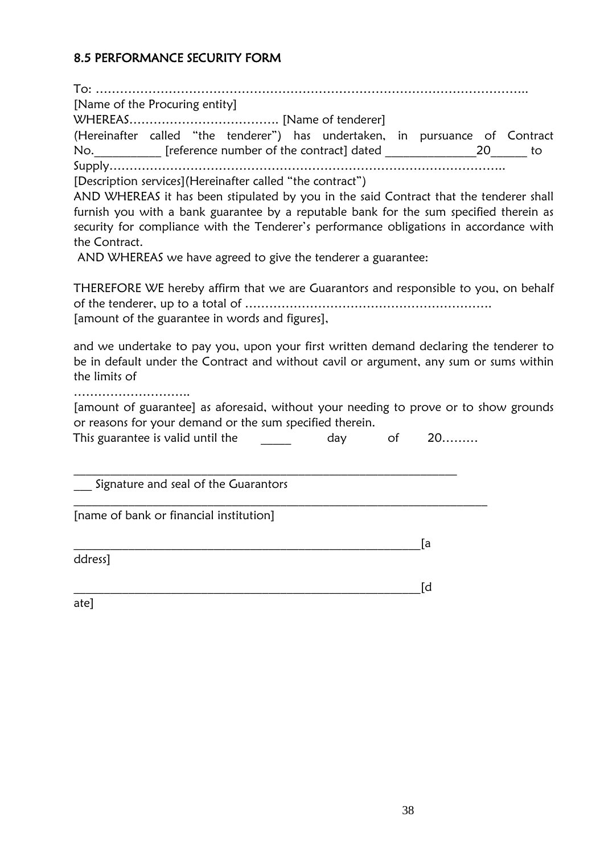## <span id="page-38-0"></span>8.5 PERFORMANCE SECURITY FORM

To: …………………………………………………………………………………………….. [Name of the Procuring entity] WHEREAS………………………………. [Name of tenderer] (Hereinafter called "the tenderer") has undertaken, in pursuance of Contract No.\_\_\_\_\_\_\_\_\_\_\_ [reference number of the contract] dated \_\_\_\_\_\_\_\_\_\_\_\_\_\_\_20\_\_\_\_\_\_ to Supply…………………………………………………………………………………….. [Description services](Hereinafter called "the contract") AND WHEREAS it has been stipulated by you in the said Contract that the tenderer shall furnish you with a bank guarantee by a reputable bank for the sum specified therein as security for compliance with the Tenderer's performance obligations in accordance with the Contract. AND WHEREAS we have agreed to give the tenderer a guarantee: THEREFORE WE hereby affirm that we are Guarantors and responsible to you, on behalf of the tenderer, up to a total of ……………………………………………………. [amount of the guarantee in words and figures], and we undertake to pay you, upon your first written demand declaring the tenderer to be in default under the Contract and without cavil or argument, any sum or sums within the limits of …………………………… [amount of guarantee] as aforesaid, without your needing to prove or to show grounds or reasons for your demand or the sum specified therein. This guarantee is valid until the day of 20………  $\_$  , and the set of the set of the set of the set of the set of the set of the set of the set of the set of the set of the set of the set of the set of the set of the set of the set of the set of the set of the set of th Signature and seal of the Guarantors  $\_$  , and the set of the set of the set of the set of the set of the set of the set of the set of the set of the set of the set of the set of the set of the set of the set of the set of the set of the set of the set of th [name of bank or financial institution]  $\Box$  . The contract of the contract of the contract of the contract of  $\Box$  and  $\Box$  and  $\Box$  and  $\Box$  . The contract of the contract of the contract of the contract of the contract of the contract of the contract of the ddress] \_\_\_\_\_\_\_\_\_\_\_\_\_\_\_\_\_\_\_\_\_\_\_\_\_\_\_\_\_\_\_\_\_\_\_\_\_\_\_\_\_\_\_\_\_\_\_\_\_\_\_\_\_\_\_\_\_[d ate]

38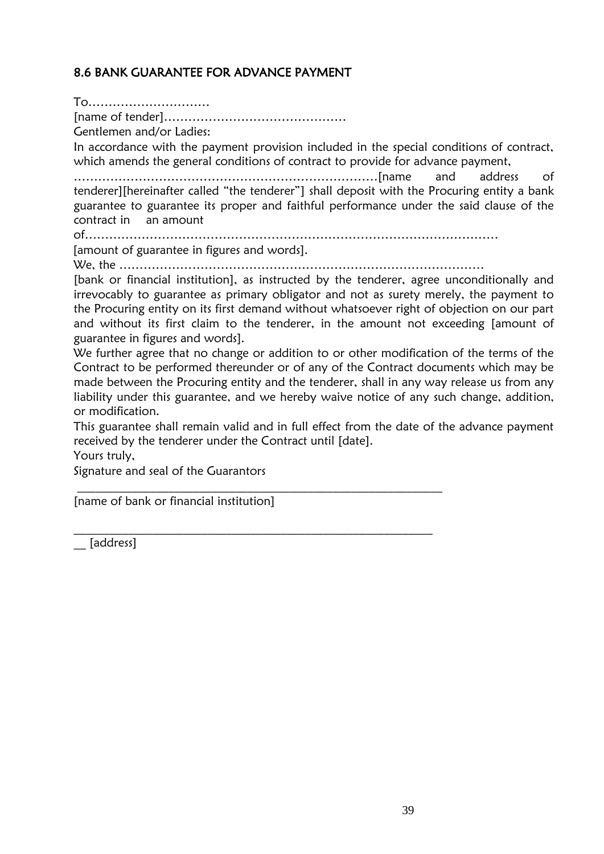## <span id="page-39-0"></span>8.6 BANK GUARANTEE FOR ADVANCE PAYMENT

To………………………… [name of tender]……………………………………… Gentlemen and/or Ladies: In accordance with the payment provision included in the special conditions of contract, which amends the general conditions of contract to provide for advance payment, …………………………………………………………………[name and address of tenderer][hereinafter called "the tenderer"] shall deposit with the Procuring entity a bank guarantee to guarantee its proper and faithful performance under the said clause of the contract in an amount of………………………………………………………………………………………… [amount of guarantee in figures and words].

We, the ………………………………………………………………………………

\_\_\_\_\_\_\_\_\_\_\_\_\_\_\_\_\_\_\_\_\_\_\_\_\_\_\_\_\_\_\_\_\_\_\_\_\_\_\_\_\_\_\_\_\_\_\_\_\_\_\_\_\_\_\_\_\_\_\_\_

\_\_\_\_\_\_\_\_\_\_\_\_\_\_\_\_\_\_\_\_\_\_\_\_\_\_\_\_\_\_\_\_\_\_\_\_\_\_\_\_\_\_\_\_\_\_\_\_\_\_\_\_\_\_\_\_\_\_\_

[bank or financial institution], as instructed by the tenderer, agree unconditionally and irrevocably to guarantee as primary obligator and not as surety merely, the payment to the Procuring entity on its first demand without whatsoever right of objection on our part and without its first claim to the tenderer, in the amount not exceeding [amount of guarantee in figures and words].

We further agree that no change or addition to or other modification of the terms of the Contract to be performed thereunder or of any of the Contract documents which may be made between the Procuring entity and the tenderer, shall in any way release us from any liability under this guarantee, and we hereby waive notice of any such change, addition, or modification.

This guarantee shall remain valid and in full effect from the date of the advance payment received by the tenderer under the Contract until [date].

Yours truly,

Signature and seal of the Guarantors

[name of bank or financial institution]

\_\_ [address]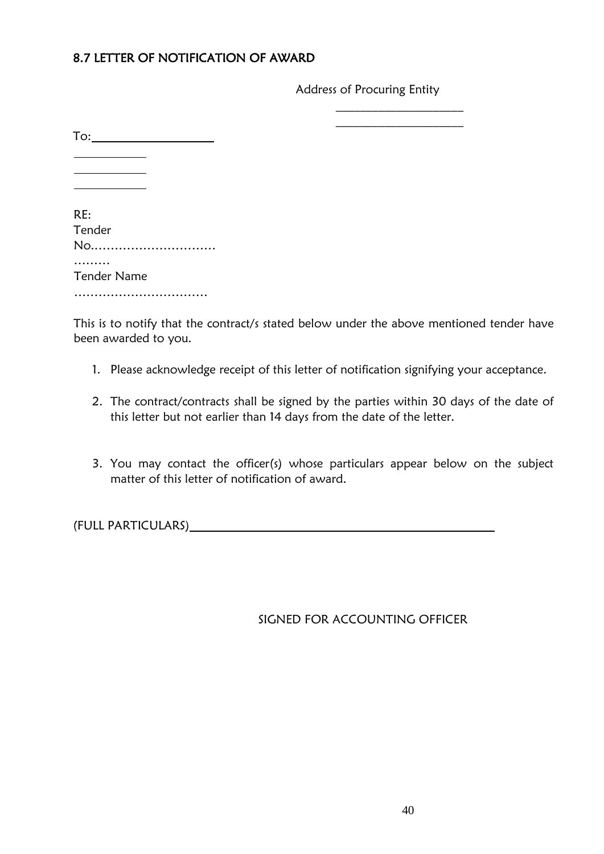## 8.7 LETTER OF NOTIFICATION OF AWARD

Address of Procuring Entity

 $\frac{1}{2}$  ,  $\frac{1}{2}$  ,  $\frac{1}{2}$  ,  $\frac{1}{2}$  ,  $\frac{1}{2}$  ,  $\frac{1}{2}$  ,  $\frac{1}{2}$  ,  $\frac{1}{2}$  ,  $\frac{1}{2}$  ,  $\frac{1}{2}$  ,  $\frac{1}{2}$  $\frac{1}{2}$  ,  $\frac{1}{2}$  ,  $\frac{1}{2}$  ,  $\frac{1}{2}$  ,  $\frac{1}{2}$  ,  $\frac{1}{2}$  ,  $\frac{1}{2}$  ,  $\frac{1}{2}$  ,  $\frac{1}{2}$  ,  $\frac{1}{2}$  ,  $\frac{1}{2}$ 

| To:                |
|--------------------|
|                    |
|                    |
| RE:                |
| Tender             |
| No                 |
| <b>Tender Name</b> |
|                    |

This is to notify that the contract/s stated below under the above mentioned tender have been awarded to you.

- 1. Please acknowledge receipt of this letter of notification signifying your acceptance.
- 2. The contract/contracts shall be signed by the parties within 30 days of the date of this letter but not earlier than 14 days from the date of the letter.
- 3. You may contact the officer(s) whose particulars appear below on the subject matter of this letter of notification of award.

(FULL PARTICULARS)

## SIGNED FOR ACCOUNTING OFFICER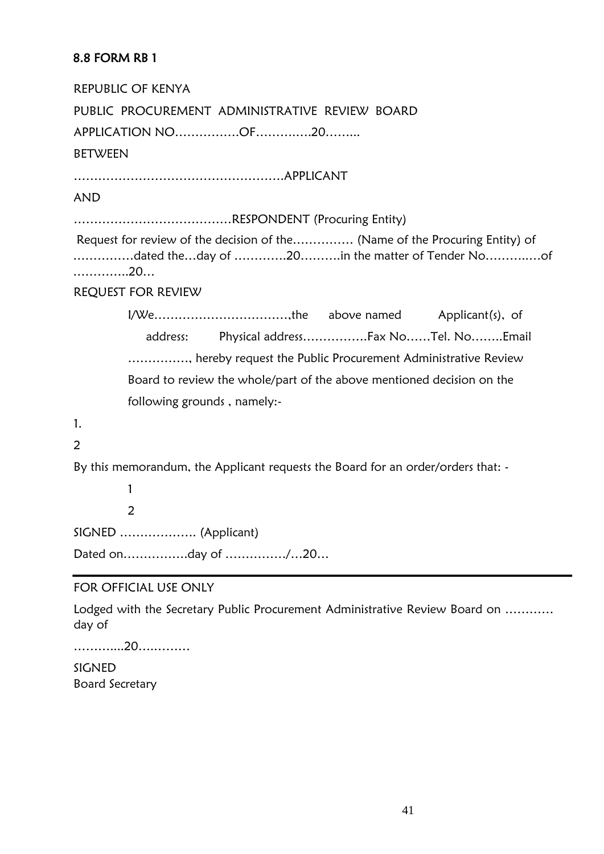## <span id="page-41-0"></span>8.8 FORM RB 1

REPUBLIC OF KENYA PUBLIC PROCUREMENT ADMINISTRATIVE REVIEW BOARD APPLICATION NO…………….OF……….….20……... **BETWEEN** …………………………………………….APPLICANT AND …………………………………RESPONDENT (Procuring Entity) Request for review of the decision of the…………… (Name of the Procuring Entity) of ……………dated the…day of ………….20……….in the matter of Tender No………..…of …………..20… REQUEST FOR REVIEW I/We……………………………,the above named Applicant(s), of address: Physical address…………….Fax No……Tel. No……..Email ……………, hereby request the Public Procurement Administrative Review Board to review the whole/part of the above mentioned decision on the following grounds , namely:- 1.  $\overline{2}$ By this memorandum, the Applicant requests the Board for an order/orders that: - 1  $\overline{2}$ SIGNED ………………. (Applicant) Dated on…………….day of ……………/…20… FOR OFFICIAL USE ONLY

Lodged with the Secretary Public Procurement Administrative Review Board on ………… day of

………....20….………

SIGNED Board Secretary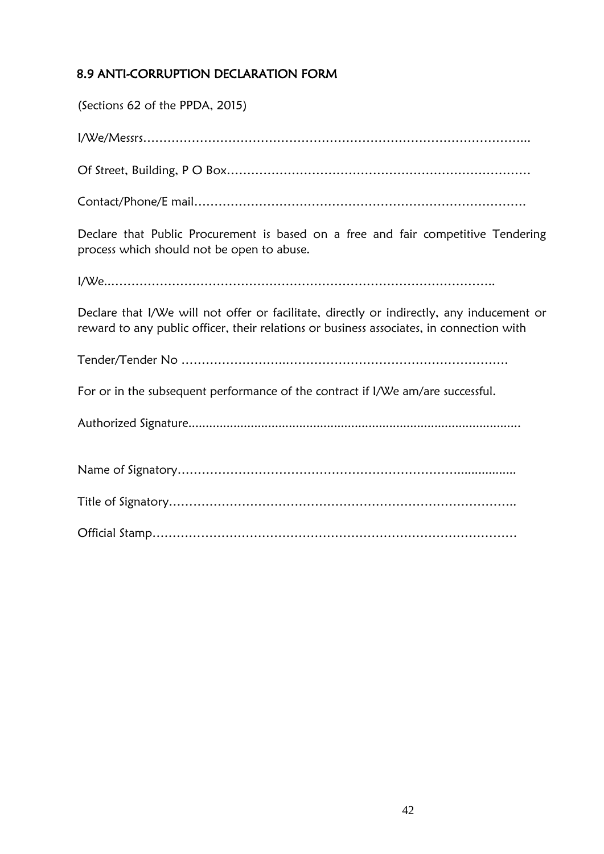# <span id="page-42-0"></span>8.9 ANTI-CORRUPTION DECLARATION FORM

(Sections 62 of the PPDA, 2015)

I/We/Messrs…………………………………………………………………………………... Of Street, Building, P O Box………………………………………………………………… Contact/Phone/E mail………………………………………………………………………. Declare that Public Procurement is based on a free and fair competitive Tendering process which should not be open to abuse. I/We..………………………………………………………………………………….. Declare that I/We will not offer or facilitate, directly or indirectly, any inducement or reward to any public officer, their relations or business associates, in connection with Tender/Tender No ……………………..………………………………………………. For or in the subsequent performance of the contract if I/We am/are successful. Authorized Signature................................................................................................ Name of Signatory……………………………………………………………................. Title of Signatory………………………………………………………………………….. Official Stamp………………………………………………………………………………